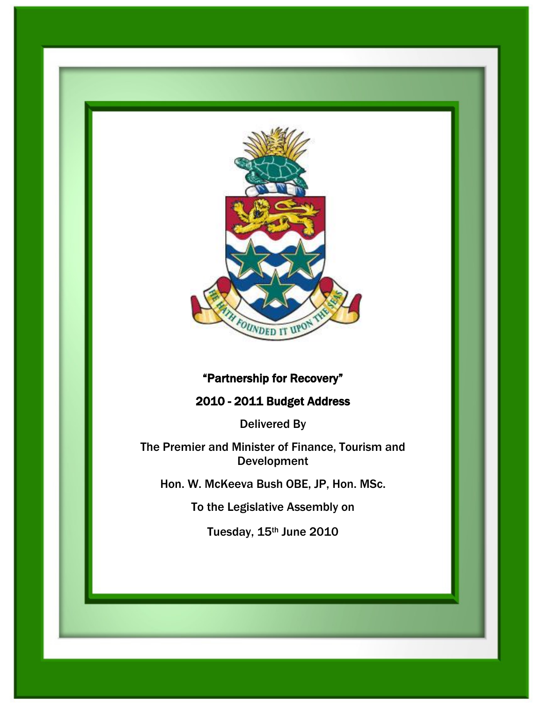

# "Partnership for Recovery"

## 2010 - 2011 Budget Address

Delivered By

The Premier and Minister of Finance, Tourism and Development

Hon. W. McKeeva Bush OBE, JP, Hon. MSc.

To the Legislative Assembly on

Tuesday, 15th June 2010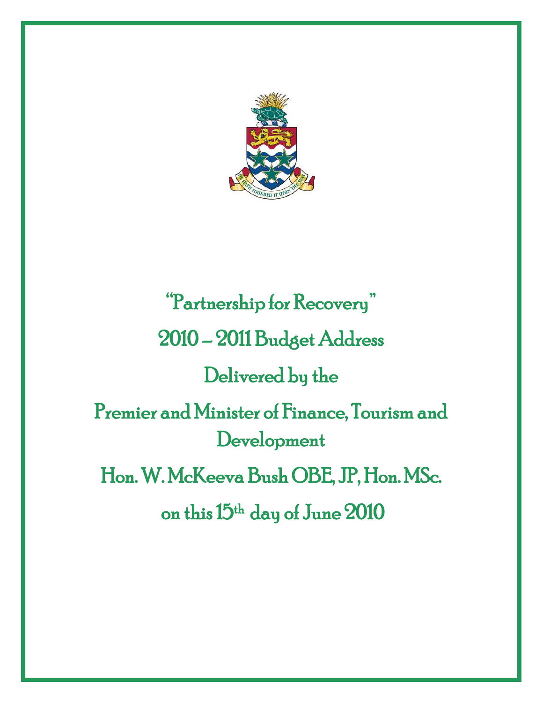

"Partnership for Recovery" 2010 – 2011 Budget Address Delivered by the Premier and Minister of Finance, Tourism and Development Hon. W. McKeeva Bush OBE, JP, Hon. MSc. on this 15<sup>th</sup> day of June 2010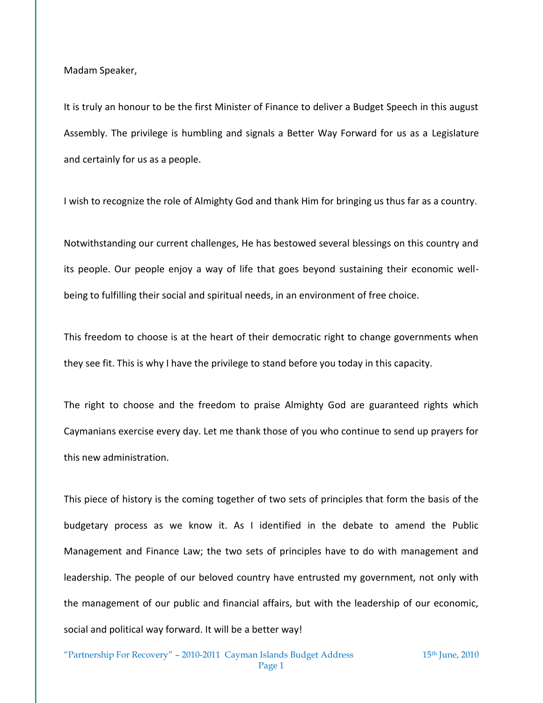Madam Speaker,

It is truly an honour to be the first Minister of Finance to deliver a Budget Speech in this august Assembly. The privilege is humbling and signals a Better Way Forward for us as a Legislature and certainly for us as a people.

I wish to recognize the role of Almighty God and thank Him for bringing us thus far as a country.

Notwithstanding our current challenges, He has bestowed several blessings on this country and its people. Our people enjoy a way of life that goes beyond sustaining their economic wellbeing to fulfilling their social and spiritual needs, in an environment of free choice.

This freedom to choose is at the heart of their democratic right to change governments when they see fit. This is why I have the privilege to stand before you today in this capacity.

The right to choose and the freedom to praise Almighty God are guaranteed rights which Caymanians exercise every day. Let me thank those of you who continue to send up prayers for this new administration.

This piece of history is the coming together of two sets of principles that form the basis of the budgetary process as we know it. As I identified in the debate to amend the Public Management and Finance Law; the two sets of principles have to do with management and leadership. The people of our beloved country have entrusted my government, not only with the management of our public and financial affairs, but with the leadership of our economic, social and political way forward. It will be a better way!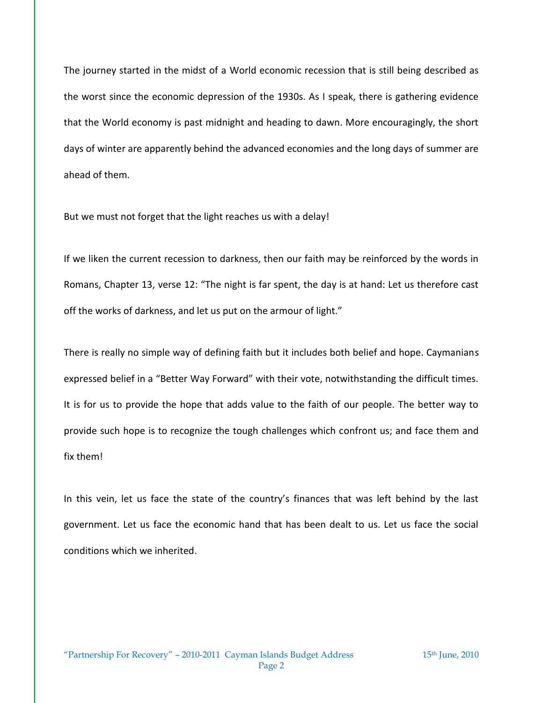The journey started in the midst of a World economic recession that is still being described as the worst since the economic depression of the 1930s. As I speak, there is gathering evidence that the World economy is past midnight and heading to dawn. More encouragingly, the short days of winter are apparently behind the advanced economies and the long days of summer are ahead of them.

But we must not forget that the light reaches us with a delay!

If we liken the current recession to darkness, then our faith may be reinforced by the words in Romans, Chapter 13, verse 12: "The night is far spent, the day is at hand: Let us therefore cast off the works of darkness, and let us put on the armour of light."

There is really no simple way of defining faith but it includes both belief and hope. Caymanians expressed belief in a "Better Way Forward" with their vote, notwithstanding the difficult times. It is for us to provide the hope that adds value to the faith of our people. The better way to provide such hope is to recognize the tough challenges which confront us; and face them and fix them!

In this vein, let us face the state of the country's finances that was left behind by the last government. Let us face the economic hand that has been dealt to us. Let us face the social conditions which we inherited.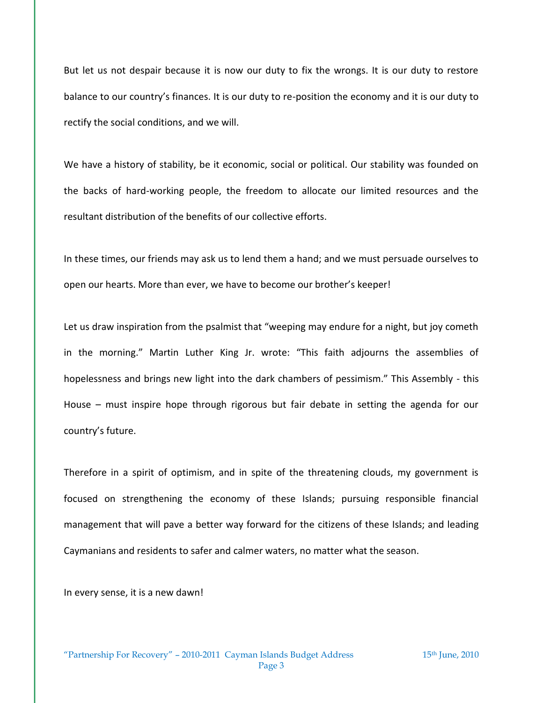But let us not despair because it is now our duty to fix the wrongs. It is our duty to restore balance to our country's finances. It is our duty to re-position the economy and it is our duty to rectify the social conditions, and we will.

We have a history of stability, be it economic, social or political. Our stability was founded on the backs of hard-working people, the freedom to allocate our limited resources and the resultant distribution of the benefits of our collective efforts.

In these times, our friends may ask us to lend them a hand; and we must persuade ourselves to open our hearts. More than ever, we have to become our brother's keeper!

Let us draw inspiration from the psalmist that "weeping may endure for a night, but joy cometh in the morning." Martin Luther King Jr. wrote: "This faith adjourns the assemblies of hopelessness and brings new light into the dark chambers of pessimism." This Assembly - this House – must inspire hope through rigorous but fair debate in setting the agenda for our country's future.

Therefore in a spirit of optimism, and in spite of the threatening clouds, my government is focused on strengthening the economy of these Islands; pursuing responsible financial management that will pave a better way forward for the citizens of these Islands; and leading Caymanians and residents to safer and calmer waters, no matter what the season.

In every sense, it is a new dawn!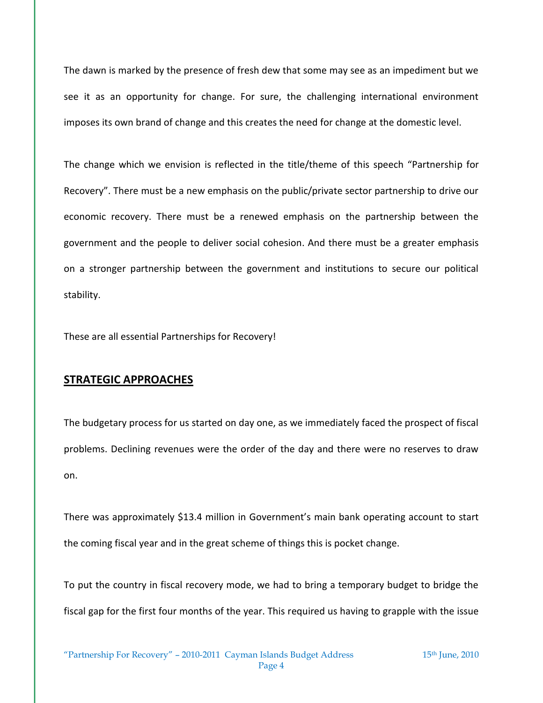The dawn is marked by the presence of fresh dew that some may see as an impediment but we see it as an opportunity for change. For sure, the challenging international environment imposes its own brand of change and this creates the need for change at the domestic level.

The change which we envision is reflected in the title/theme of this speech "Partnership for Recovery". There must be a new emphasis on the public/private sector partnership to drive our economic recovery. There must be a renewed emphasis on the partnership between the government and the people to deliver social cohesion. And there must be a greater emphasis on a stronger partnership between the government and institutions to secure our political stability.

These are all essential Partnerships for Recovery!

#### **STRATEGIC APPROACHES**

The budgetary process for us started on day one, as we immediately faced the prospect of fiscal problems. Declining revenues were the order of the day and there were no reserves to draw on.

There was approximately \$13.4 million in Government's main bank operating account to start the coming fiscal year and in the great scheme of things this is pocket change.

To put the country in fiscal recovery mode, we had to bring a temporary budget to bridge the fiscal gap for the first four months of the year. This required us having to grapple with the issue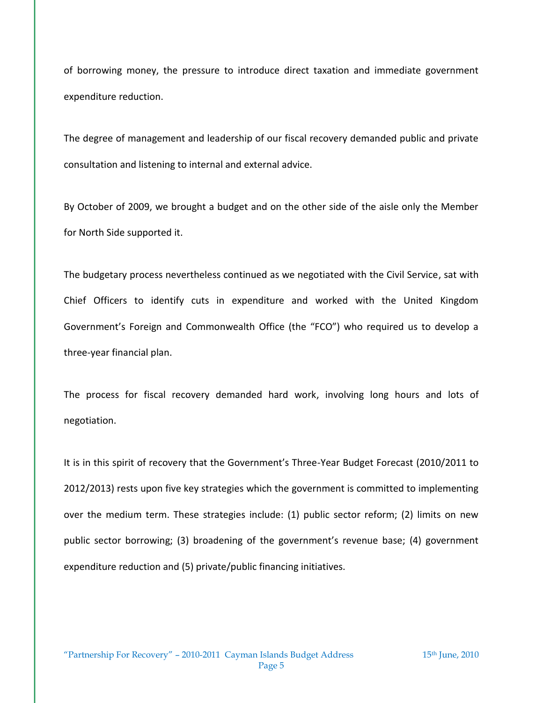of borrowing money, the pressure to introduce direct taxation and immediate government expenditure reduction.

The degree of management and leadership of our fiscal recovery demanded public and private consultation and listening to internal and external advice.

By October of 2009, we brought a budget and on the other side of the aisle only the Member for North Side supported it.

The budgetary process nevertheless continued as we negotiated with the Civil Service, sat with Chief Officers to identify cuts in expenditure and worked with the United Kingdom Government's Foreign and Commonwealth Office (the "FCO") who required us to develop a three-year financial plan.

The process for fiscal recovery demanded hard work, involving long hours and lots of negotiation.

It is in this spirit of recovery that the Government's Three-Year Budget Forecast (2010/2011 to 2012/2013) rests upon five key strategies which the government is committed to implementing over the medium term. These strategies include: (1) public sector reform; (2) limits on new public sector borrowing; (3) broadening of the government's revenue base; (4) government expenditure reduction and (5) private/public financing initiatives.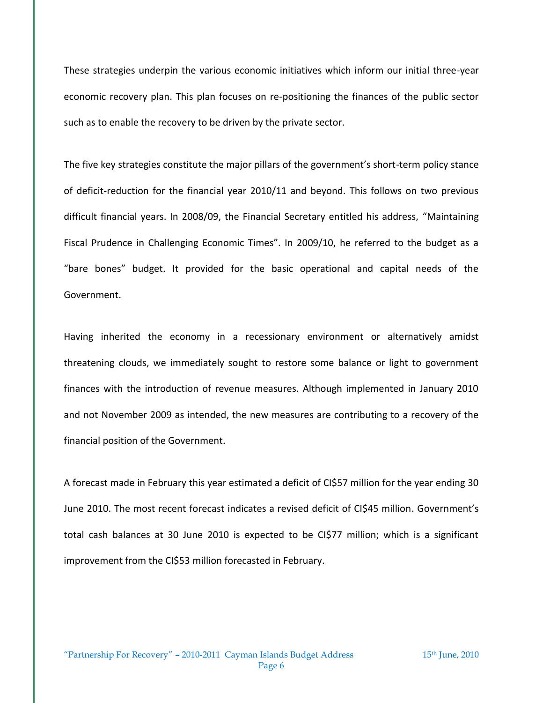These strategies underpin the various economic initiatives which inform our initial three-year economic recovery plan. This plan focuses on re-positioning the finances of the public sector such as to enable the recovery to be driven by the private sector.

The five key strategies constitute the major pillars of the government's short-term policy stance of deficit-reduction for the financial year 2010/11 and beyond. This follows on two previous difficult financial years. In 2008/09, the Financial Secretary entitled his address, "Maintaining Fiscal Prudence in Challenging Economic Times". In 2009/10, he referred to the budget as a "bare bones" budget. It provided for the basic operational and capital needs of the Government.

Having inherited the economy in a recessionary environment or alternatively amidst threatening clouds, we immediately sought to restore some balance or light to government finances with the introduction of revenue measures. Although implemented in January 2010 and not November 2009 as intended, the new measures are contributing to a recovery of the financial position of the Government.

A forecast made in February this year estimated a deficit of CI\$57 million for the year ending 30 June 2010. The most recent forecast indicates a revised deficit of CI\$45 million. Government's total cash balances at 30 June 2010 is expected to be CI\$77 million; which is a significant improvement from the CI\$53 million forecasted in February.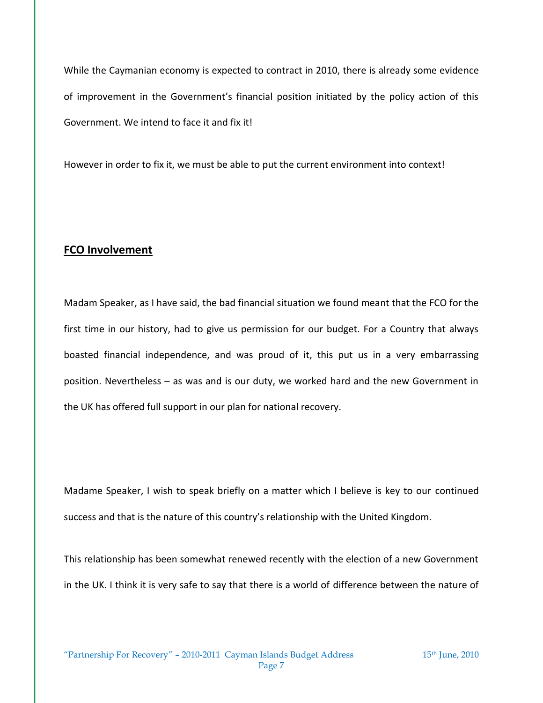While the Caymanian economy is expected to contract in 2010, there is already some evidence of improvement in the Government's financial position initiated by the policy action of this Government. We intend to face it and fix it!

However in order to fix it, we must be able to put the current environment into context!

## **FCO Involvement**

Madam Speaker, as I have said, the bad financial situation we found meant that the FCO for the first time in our history, had to give us permission for our budget. For a Country that always boasted financial independence, and was proud of it, this put us in a very embarrassing position. Nevertheless – as was and is our duty, we worked hard and the new Government in the UK has offered full support in our plan for national recovery.

Madame Speaker, I wish to speak briefly on a matter which I believe is key to our continued success and that is the nature of this country's relationship with the United Kingdom.

This relationship has been somewhat renewed recently with the election of a new Government in the UK. I think it is very safe to say that there is a world of difference between the nature of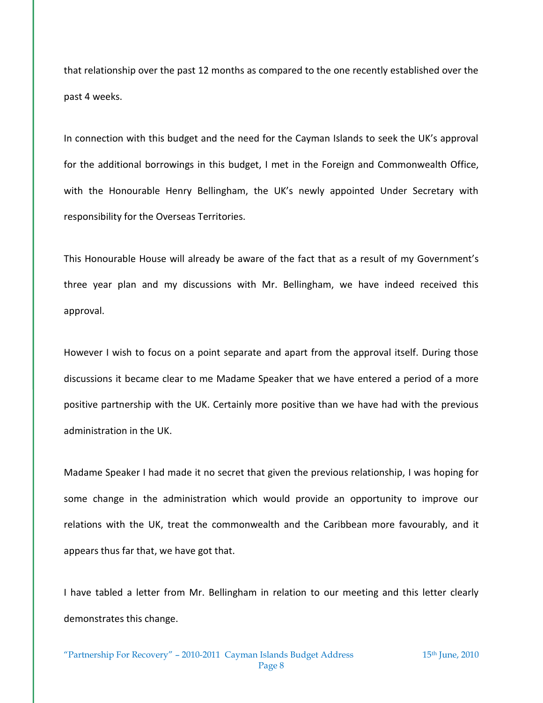that relationship over the past 12 months as compared to the one recently established over the past 4 weeks.

In connection with this budget and the need for the Cayman Islands to seek the UK's approval for the additional borrowings in this budget, I met in the Foreign and Commonwealth Office, with the Honourable Henry Bellingham, the UK's newly appointed Under Secretary with responsibility for the Overseas Territories.

This Honourable House will already be aware of the fact that as a result of my Government's three year plan and my discussions with Mr. Bellingham, we have indeed received this approval.

However I wish to focus on a point separate and apart from the approval itself. During those discussions it became clear to me Madame Speaker that we have entered a period of a more positive partnership with the UK. Certainly more positive than we have had with the previous administration in the UK.

Madame Speaker I had made it no secret that given the previous relationship, I was hoping for some change in the administration which would provide an opportunity to improve our relations with the UK, treat the commonwealth and the Caribbean more favourably, and it appears thus far that, we have got that.

I have tabled a letter from Mr. Bellingham in relation to our meeting and this letter clearly demonstrates this change.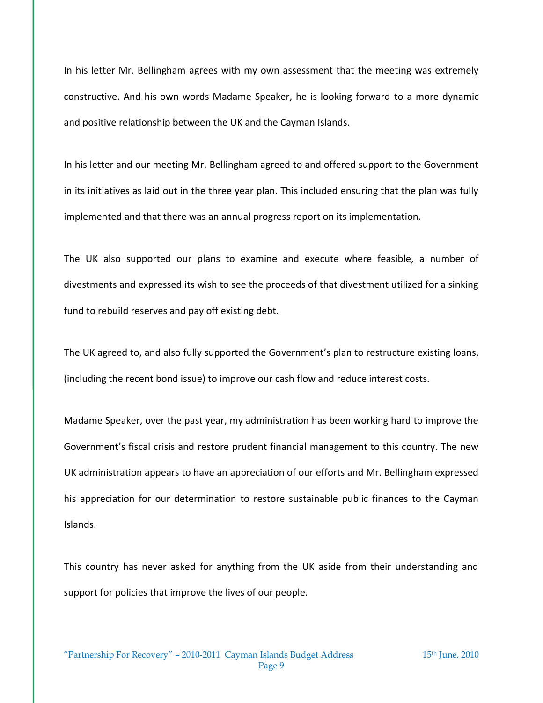In his letter Mr. Bellingham agrees with my own assessment that the meeting was extremely constructive. And his own words Madame Speaker, he is looking forward to a more dynamic and positive relationship between the UK and the Cayman Islands.

In his letter and our meeting Mr. Bellingham agreed to and offered support to the Government in its initiatives as laid out in the three year plan. This included ensuring that the plan was fully implemented and that there was an annual progress report on its implementation.

The UK also supported our plans to examine and execute where feasible, a number of divestments and expressed its wish to see the proceeds of that divestment utilized for a sinking fund to rebuild reserves and pay off existing debt.

The UK agreed to, and also fully supported the Government's plan to restructure existing loans, (including the recent bond issue) to improve our cash flow and reduce interest costs.

Madame Speaker, over the past year, my administration has been working hard to improve the Government's fiscal crisis and restore prudent financial management to this country. The new UK administration appears to have an appreciation of our efforts and Mr. Bellingham expressed his appreciation for our determination to restore sustainable public finances to the Cayman Islands.

This country has never asked for anything from the UK aside from their understanding and support for policies that improve the lives of our people.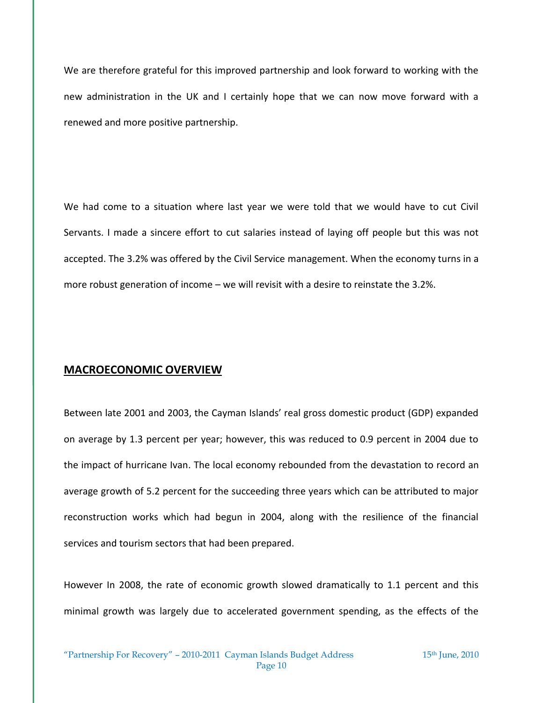We are therefore grateful for this improved partnership and look forward to working with the new administration in the UK and I certainly hope that we can now move forward with a renewed and more positive partnership.

We had come to a situation where last year we were told that we would have to cut Civil Servants. I made a sincere effort to cut salaries instead of laying off people but this was not accepted. The 3.2% was offered by the Civil Service management. When the economy turns in a more robust generation of income – we will revisit with a desire to reinstate the 3.2%.

## **MACROECONOMIC OVERVIEW**

Between late 2001 and 2003, the Cayman Islands' real gross domestic product (GDP) expanded on average by 1.3 percent per year; however, this was reduced to 0.9 percent in 2004 due to the impact of hurricane Ivan. The local economy rebounded from the devastation to record an average growth of 5.2 percent for the succeeding three years which can be attributed to major reconstruction works which had begun in 2004, along with the resilience of the financial services and tourism sectors that had been prepared.

However In 2008, the rate of economic growth slowed dramatically to 1.1 percent and this minimal growth was largely due to accelerated government spending, as the effects of the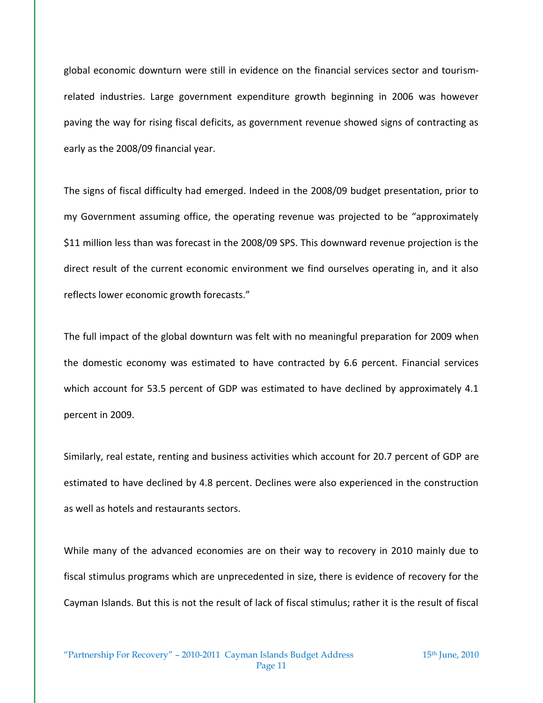global economic downturn were still in evidence on the financial services sector and tourismrelated industries. Large government expenditure growth beginning in 2006 was however paving the way for rising fiscal deficits, as government revenue showed signs of contracting as early as the 2008/09 financial year.

The signs of fiscal difficulty had emerged. Indeed in the 2008/09 budget presentation, prior to my Government assuming office, the operating revenue was projected to be "approximately \$11 million less than was forecast in the 2008/09 SPS. This downward revenue projection is the direct result of the current economic environment we find ourselves operating in, and it also reflects lower economic growth forecasts."

The full impact of the global downturn was felt with no meaningful preparation for 2009 when the domestic economy was estimated to have contracted by 6.6 percent. Financial services which account for 53.5 percent of GDP was estimated to have declined by approximately 4.1 percent in 2009.

Similarly, real estate, renting and business activities which account for 20.7 percent of GDP are estimated to have declined by 4.8 percent. Declines were also experienced in the construction as well as hotels and restaurants sectors.

While many of the advanced economies are on their way to recovery in 2010 mainly due to fiscal stimulus programs which are unprecedented in size, there is evidence of recovery for the Cayman Islands. But this is not the result of lack of fiscal stimulus; rather it is the result of fiscal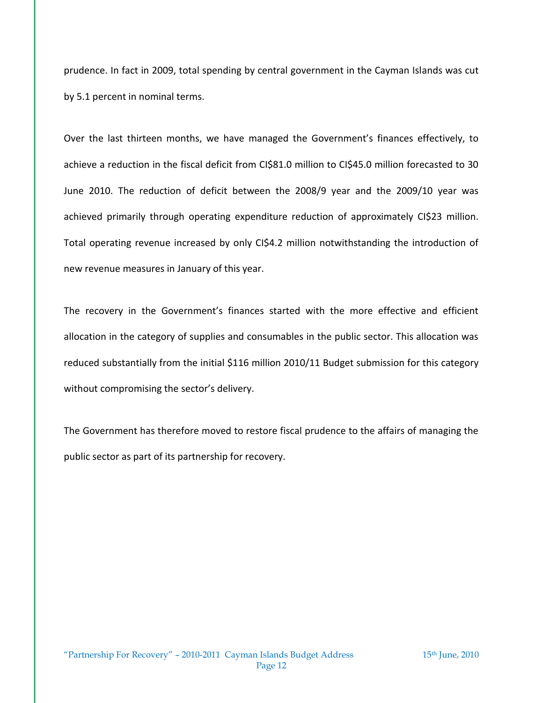prudence. In fact in 2009, total spending by central government in the Cayman Islands was cut by 5.1 percent in nominal terms.

Over the last thirteen months, we have managed the Government's finances effectively, to achieve a reduction in the fiscal deficit from CI\$81.0 million to CI\$45.0 million forecasted to 30 June 2010. The reduction of deficit between the 2008/9 year and the 2009/10 year was achieved primarily through operating expenditure reduction of approximately CI\$23 million. Total operating revenue increased by only CI\$4.2 million notwithstanding the introduction of new revenue measures in January of this year.

The recovery in the Government's finances started with the more effective and efficient allocation in the category of supplies and consumables in the public sector. This allocation was reduced substantially from the initial \$116 million 2010/11 Budget submission for this category without compromising the sector's delivery.

The Government has therefore moved to restore fiscal prudence to the affairs of managing the public sector as part of its partnership for recovery.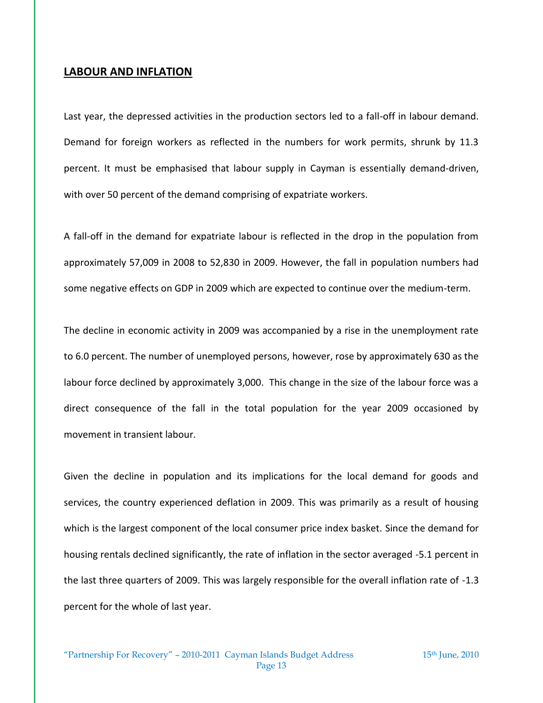#### **LABOUR AND INFLATION**

Last year, the depressed activities in the production sectors led to a fall-off in labour demand. Demand for foreign workers as reflected in the numbers for work permits, shrunk by 11.3 percent. It must be emphasised that labour supply in Cayman is essentially demand-driven, with over 50 percent of the demand comprising of expatriate workers.

A fall-off in the demand for expatriate labour is reflected in the drop in the population from approximately 57,009 in 2008 to 52,830 in 2009. However, the fall in population numbers had some negative effects on GDP in 2009 which are expected to continue over the medium-term.

The decline in economic activity in 2009 was accompanied by a rise in the unemployment rate to 6.0 percent. The number of unemployed persons, however, rose by approximately 630 as the labour force declined by approximately 3,000. This change in the size of the labour force was a direct consequence of the fall in the total population for the year 2009 occasioned by movement in transient labour.

Given the decline in population and its implications for the local demand for goods and services, the country experienced deflation in 2009. This was primarily as a result of housing which is the largest component of the local consumer price index basket. Since the demand for housing rentals declined significantly, the rate of inflation in the sector averaged -5.1 percent in the last three quarters of 2009. This was largely responsible for the overall inflation rate of -1.3 percent for the whole of last year.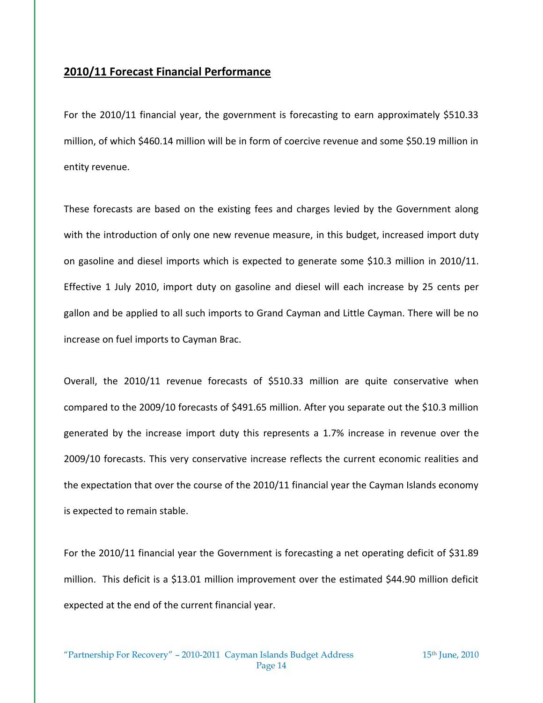## **2010/11 Forecast Financial Performance**

For the 2010/11 financial year, the government is forecasting to earn approximately \$510.33 million, of which \$460.14 million will be in form of coercive revenue and some \$50.19 million in entity revenue.

These forecasts are based on the existing fees and charges levied by the Government along with the introduction of only one new revenue measure, in this budget, increased import duty on gasoline and diesel imports which is expected to generate some \$10.3 million in 2010/11. Effective 1 July 2010, import duty on gasoline and diesel will each increase by 25 cents per gallon and be applied to all such imports to Grand Cayman and Little Cayman. There will be no increase on fuel imports to Cayman Brac.

Overall, the 2010/11 revenue forecasts of \$510.33 million are quite conservative when compared to the 2009/10 forecasts of \$491.65 million. After you separate out the \$10.3 million generated by the increase import duty this represents a 1.7% increase in revenue over the 2009/10 forecasts. This very conservative increase reflects the current economic realities and the expectation that over the course of the 2010/11 financial year the Cayman Islands economy is expected to remain stable.

For the 2010/11 financial year the Government is forecasting a net operating deficit of \$31.89 million. This deficit is a \$13.01 million improvement over the estimated \$44.90 million deficit expected at the end of the current financial year.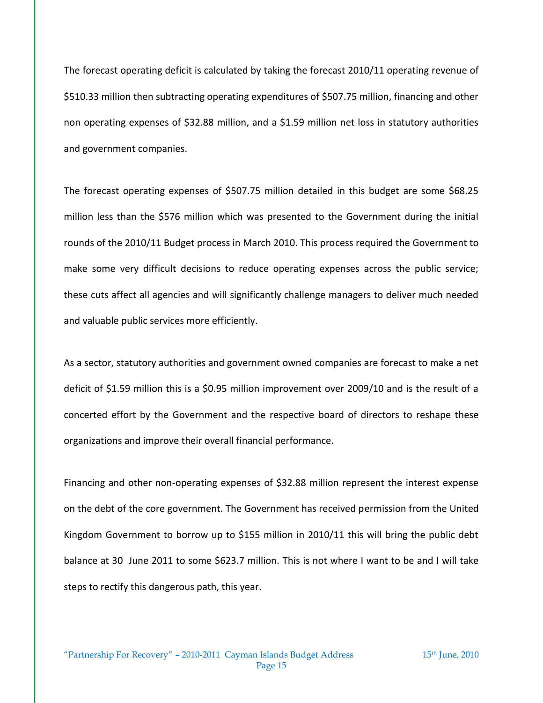The forecast operating deficit is calculated by taking the forecast 2010/11 operating revenue of \$510.33 million then subtracting operating expenditures of \$507.75 million, financing and other non operating expenses of \$32.88 million, and a \$1.59 million net loss in statutory authorities and government companies.

The forecast operating expenses of \$507.75 million detailed in this budget are some \$68.25 million less than the \$576 million which was presented to the Government during the initial rounds of the 2010/11 Budget process in March 2010. This process required the Government to make some very difficult decisions to reduce operating expenses across the public service; these cuts affect all agencies and will significantly challenge managers to deliver much needed and valuable public services more efficiently.

As a sector, statutory authorities and government owned companies are forecast to make a net deficit of \$1.59 million this is a \$0.95 million improvement over 2009/10 and is the result of a concerted effort by the Government and the respective board of directors to reshape these organizations and improve their overall financial performance.

Financing and other non-operating expenses of \$32.88 million represent the interest expense on the debt of the core government. The Government has received permission from the United Kingdom Government to borrow up to \$155 million in 2010/11 this will bring the public debt balance at 30 June 2011 to some \$623.7 million. This is not where I want to be and I will take steps to rectify this dangerous path, this year.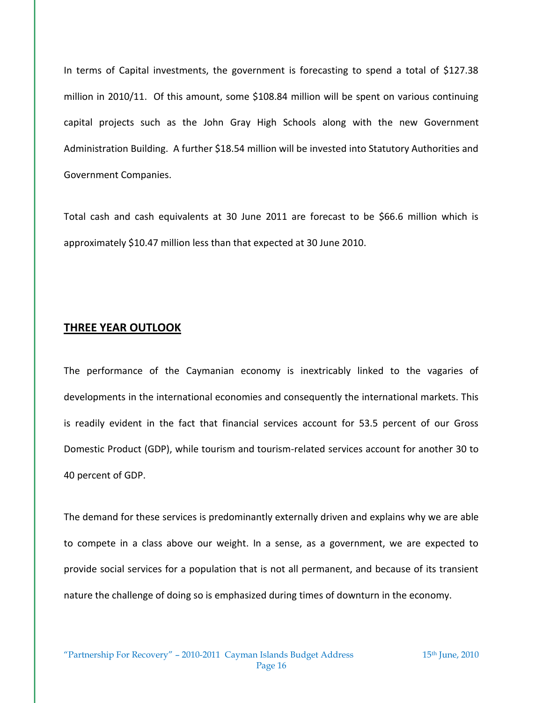In terms of Capital investments, the government is forecasting to spend a total of \$127.38 million in 2010/11. Of this amount, some \$108.84 million will be spent on various continuing capital projects such as the John Gray High Schools along with the new Government Administration Building. A further \$18.54 million will be invested into Statutory Authorities and Government Companies.

Total cash and cash equivalents at 30 June 2011 are forecast to be \$66.6 million which is approximately \$10.47 million less than that expected at 30 June 2010.

#### **THREE YEAR OUTLOOK**

The performance of the Caymanian economy is inextricably linked to the vagaries of developments in the international economies and consequently the international markets. This is readily evident in the fact that financial services account for 53.5 percent of our Gross Domestic Product (GDP), while tourism and tourism-related services account for another 30 to 40 percent of GDP.

The demand for these services is predominantly externally driven and explains why we are able to compete in a class above our weight. In a sense, as a government, we are expected to provide social services for a population that is not all permanent, and because of its transient nature the challenge of doing so is emphasized during times of downturn in the economy.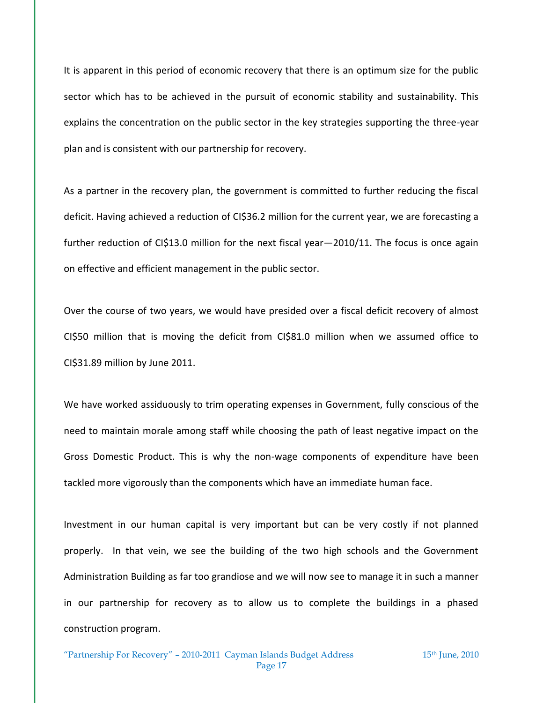It is apparent in this period of economic recovery that there is an optimum size for the public sector which has to be achieved in the pursuit of economic stability and sustainability. This explains the concentration on the public sector in the key strategies supporting the three-year plan and is consistent with our partnership for recovery.

As a partner in the recovery plan, the government is committed to further reducing the fiscal deficit. Having achieved a reduction of CI\$36.2 million for the current year, we are forecasting a further reduction of CI\$13.0 million for the next fiscal year—2010/11. The focus is once again on effective and efficient management in the public sector.

Over the course of two years, we would have presided over a fiscal deficit recovery of almost CI\$50 million that is moving the deficit from CI\$81.0 million when we assumed office to CI\$31.89 million by June 2011.

We have worked assiduously to trim operating expenses in Government, fully conscious of the need to maintain morale among staff while choosing the path of least negative impact on the Gross Domestic Product. This is why the non-wage components of expenditure have been tackled more vigorously than the components which have an immediate human face.

Investment in our human capital is very important but can be very costly if not planned properly. In that vein, we see the building of the two high schools and the Government Administration Building as far too grandiose and we will now see to manage it in such a manner in our partnership for recovery as to allow us to complete the buildings in a phased construction program.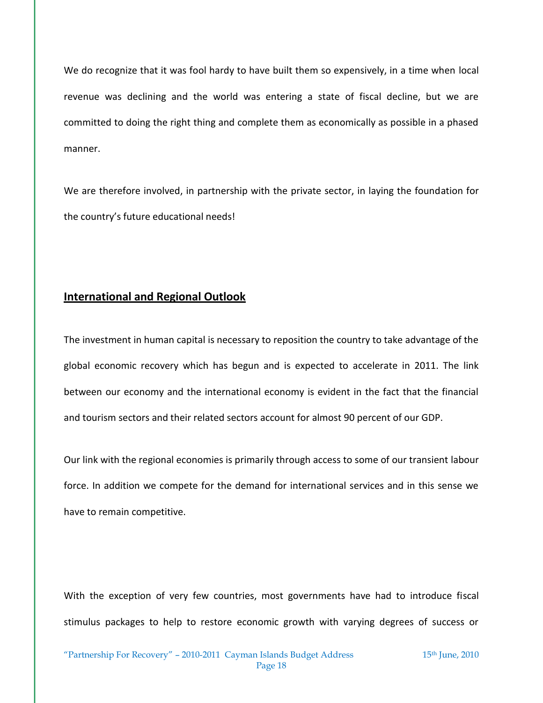We do recognize that it was fool hardy to have built them so expensively, in a time when local revenue was declining and the world was entering a state of fiscal decline, but we are committed to doing the right thing and complete them as economically as possible in a phased manner.

We are therefore involved, in partnership with the private sector, in laying the foundation for the country's future educational needs!

## **International and Regional Outlook**

The investment in human capital is necessary to reposition the country to take advantage of the global economic recovery which has begun and is expected to accelerate in 2011. The link between our economy and the international economy is evident in the fact that the financial and tourism sectors and their related sectors account for almost 90 percent of our GDP.

Our link with the regional economies is primarily through access to some of our transient labour force. In addition we compete for the demand for international services and in this sense we have to remain competitive.

With the exception of very few countries, most governments have had to introduce fiscal stimulus packages to help to restore economic growth with varying degrees of success or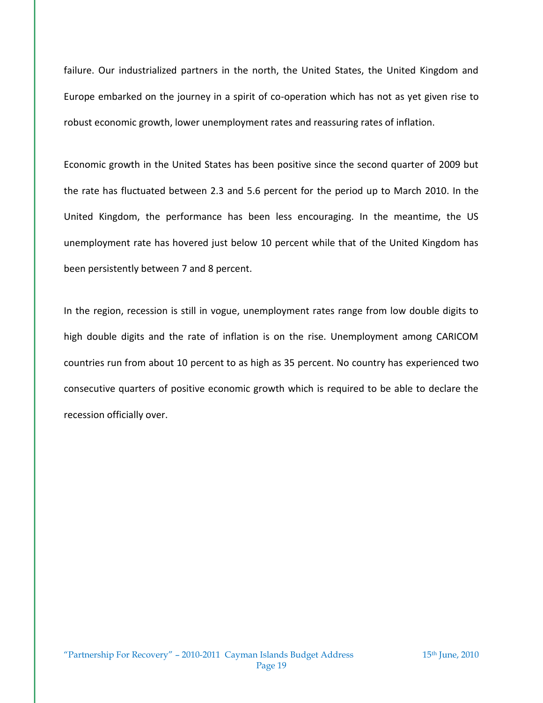failure. Our industrialized partners in the north, the United States, the United Kingdom and Europe embarked on the journey in a spirit of co-operation which has not as yet given rise to robust economic growth, lower unemployment rates and reassuring rates of inflation.

Economic growth in the United States has been positive since the second quarter of 2009 but the rate has fluctuated between 2.3 and 5.6 percent for the period up to March 2010. In the United Kingdom, the performance has been less encouraging. In the meantime, the US unemployment rate has hovered just below 10 percent while that of the United Kingdom has been persistently between 7 and 8 percent.

In the region, recession is still in vogue, unemployment rates range from low double digits to high double digits and the rate of inflation is on the rise. Unemployment among CARICOM countries run from about 10 percent to as high as 35 percent. No country has experienced two consecutive quarters of positive economic growth which is required to be able to declare the recession officially over.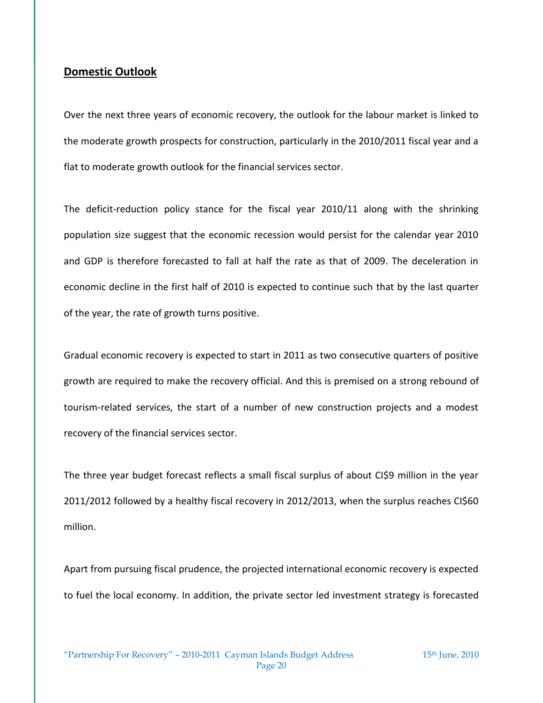## **Domestic Outlook**

Over the next three years of economic recovery, the outlook for the labour market is linked to the moderate growth prospects for construction, particularly in the 2010/2011 fiscal year and a flat to moderate growth outlook for the financial services sector.

The deficit-reduction policy stance for the fiscal year 2010/11 along with the shrinking population size suggest that the economic recession would persist for the calendar year 2010 and GDP is therefore forecasted to fall at half the rate as that of 2009. The deceleration in economic decline in the first half of 2010 is expected to continue such that by the last quarter of the year, the rate of growth turns positive.

Gradual economic recovery is expected to start in 2011 as two consecutive quarters of positive growth are required to make the recovery official. And this is premised on a strong rebound of tourism-related services, the start of a number of new construction projects and a modest recovery of the financial services sector.

The three year budget forecast reflects a small fiscal surplus of about CI\$9 million in the year 2011/2012 followed by a healthy fiscal recovery in 2012/2013, when the surplus reaches CI\$60 million.

Apart from pursuing fiscal prudence, the projected international economic recovery is expected to fuel the local economy. In addition, the private sector led investment strategy is forecasted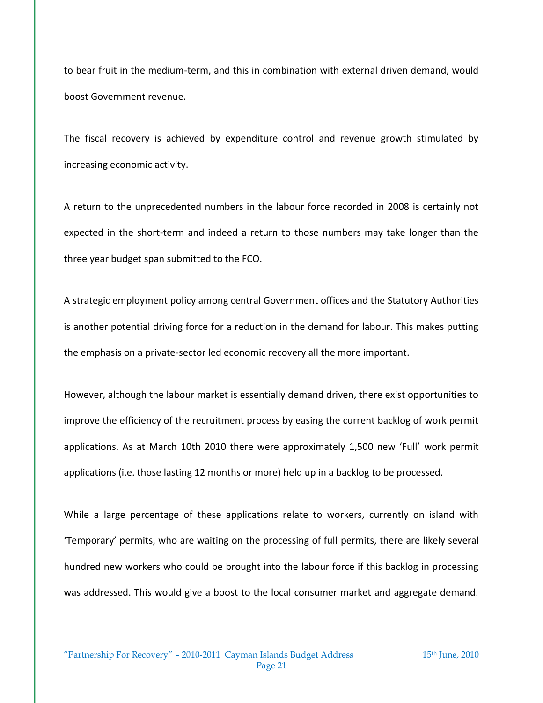to bear fruit in the medium-term, and this in combination with external driven demand, would boost Government revenue.

The fiscal recovery is achieved by expenditure control and revenue growth stimulated by increasing economic activity.

A return to the unprecedented numbers in the labour force recorded in 2008 is certainly not expected in the short-term and indeed a return to those numbers may take longer than the three year budget span submitted to the FCO.

A strategic employment policy among central Government offices and the Statutory Authorities is another potential driving force for a reduction in the demand for labour. This makes putting the emphasis on a private-sector led economic recovery all the more important.

However, although the labour market is essentially demand driven, there exist opportunities to improve the efficiency of the recruitment process by easing the current backlog of work permit applications. As at March 10th 2010 there were approximately 1,500 new 'Full' work permit applications (i.e. those lasting 12 months or more) held up in a backlog to be processed.

While a large percentage of these applications relate to workers, currently on island with 'Temporary' permits, who are waiting on the processing of full permits, there are likely several hundred new workers who could be brought into the labour force if this backlog in processing was addressed. This would give a boost to the local consumer market and aggregate demand.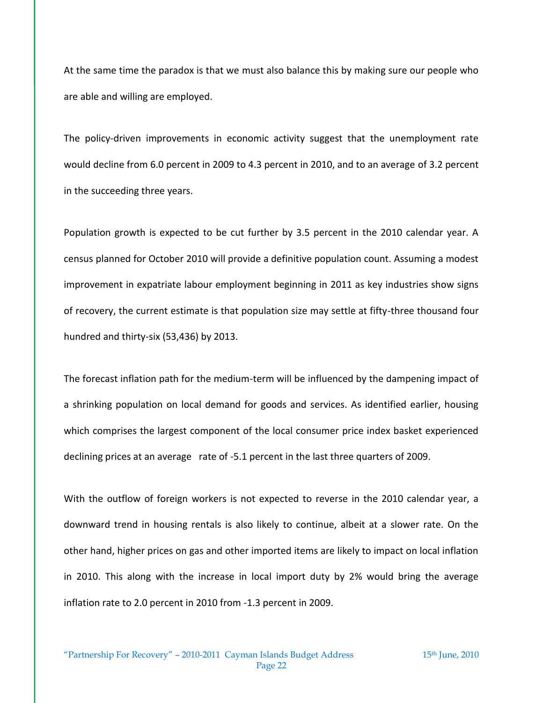At the same time the paradox is that we must also balance this by making sure our people who are able and willing are employed.

The policy-driven improvements in economic activity suggest that the unemployment rate would decline from 6.0 percent in 2009 to 4.3 percent in 2010, and to an average of 3.2 percent in the succeeding three years.

Population growth is expected to be cut further by 3.5 percent in the 2010 calendar year. A census planned for October 2010 will provide a definitive population count. Assuming a modest improvement in expatriate labour employment beginning in 2011 as key industries show signs of recovery, the current estimate is that population size may settle at fifty-three thousand four hundred and thirty-six (53,436) by 2013.

The forecast inflation path for the medium-term will be influenced by the dampening impact of a shrinking population on local demand for goods and services. As identified earlier, housing which comprises the largest component of the local consumer price index basket experienced declining prices at an average rate of -5.1 percent in the last three quarters of 2009.

With the outflow of foreign workers is not expected to reverse in the 2010 calendar year, a downward trend in housing rentals is also likely to continue, albeit at a slower rate. On the other hand, higher prices on gas and other imported items are likely to impact on local inflation in 2010. This along with the increase in local import duty by 2% would bring the average inflation rate to 2.0 percent in 2010 from -1.3 percent in 2009.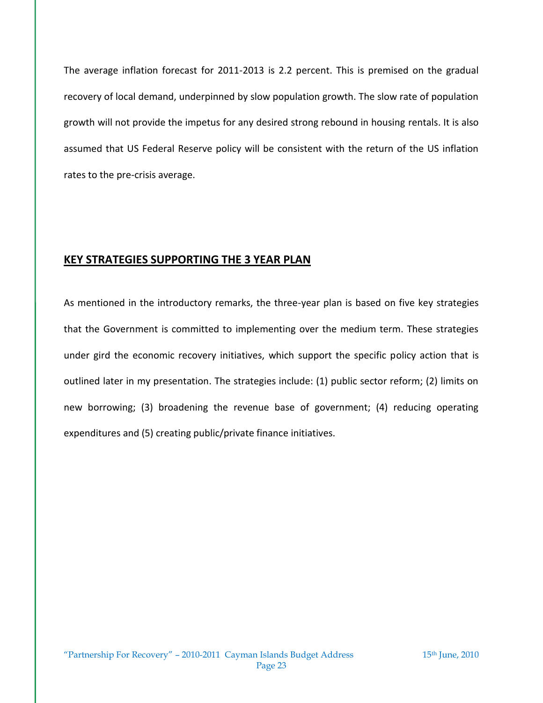The average inflation forecast for 2011-2013 is 2.2 percent. This is premised on the gradual recovery of local demand, underpinned by slow population growth. The slow rate of population growth will not provide the impetus for any desired strong rebound in housing rentals. It is also assumed that US Federal Reserve policy will be consistent with the return of the US inflation rates to the pre-crisis average.

## **KEY STRATEGIES SUPPORTING THE 3 YEAR PLAN**

As mentioned in the introductory remarks, the three-year plan is based on five key strategies that the Government is committed to implementing over the medium term. These strategies under gird the economic recovery initiatives, which support the specific policy action that is outlined later in my presentation. The strategies include: (1) public sector reform; (2) limits on new borrowing; (3) broadening the revenue base of government; (4) reducing operating expenditures and (5) creating public/private finance initiatives.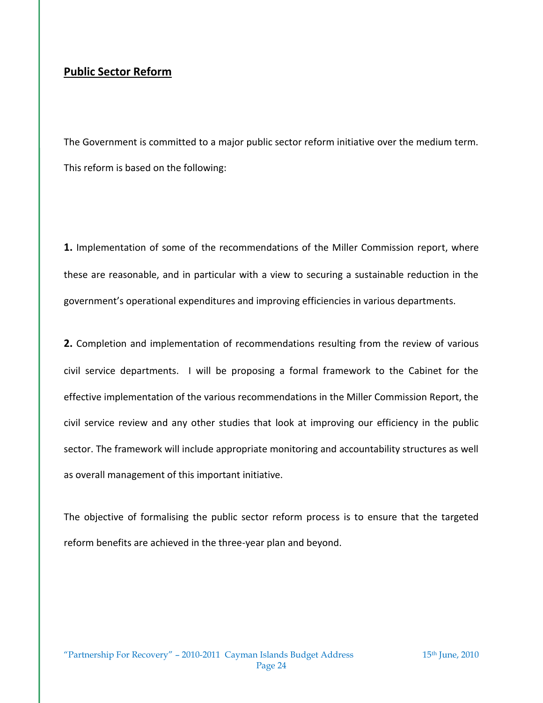## **Public Sector Reform**

The Government is committed to a major public sector reform initiative over the medium term. This reform is based on the following:

**1.** Implementation of some of the recommendations of the Miller Commission report, where these are reasonable, and in particular with a view to securing a sustainable reduction in the government's operational expenditures and improving efficiencies in various departments.

**2.** Completion and implementation of recommendations resulting from the review of various civil service departments. I will be proposing a formal framework to the Cabinet for the effective implementation of the various recommendations in the Miller Commission Report, the civil service review and any other studies that look at improving our efficiency in the public sector. The framework will include appropriate monitoring and accountability structures as well as overall management of this important initiative.

The objective of formalising the public sector reform process is to ensure that the targeted reform benefits are achieved in the three-year plan and beyond.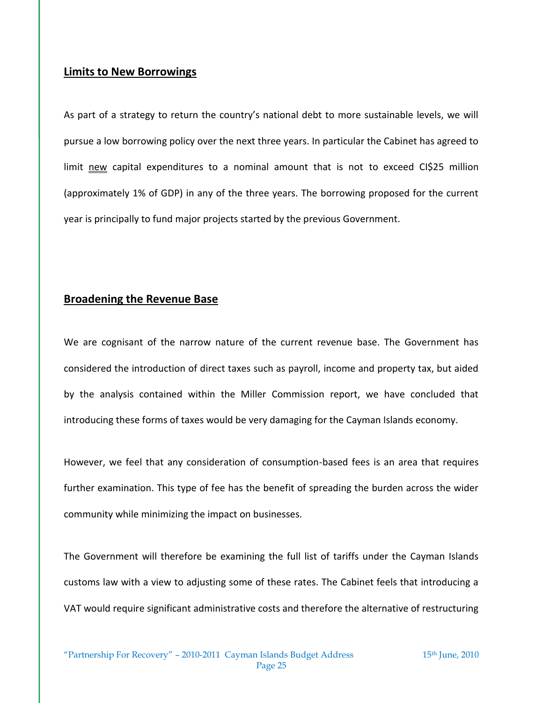## **Limits to New Borrowings**

As part of a strategy to return the country's national debt to more sustainable levels, we will pursue a low borrowing policy over the next three years. In particular the Cabinet has agreed to limit new capital expenditures to a nominal amount that is not to exceed CI\$25 million (approximately 1% of GDP) in any of the three years. The borrowing proposed for the current year is principally to fund major projects started by the previous Government.

## **Broadening the Revenue Base**

We are cognisant of the narrow nature of the current revenue base. The Government has considered the introduction of direct taxes such as payroll, income and property tax, but aided by the analysis contained within the Miller Commission report, we have concluded that introducing these forms of taxes would be very damaging for the Cayman Islands economy.

However, we feel that any consideration of consumption-based fees is an area that requires further examination. This type of fee has the benefit of spreading the burden across the wider community while minimizing the impact on businesses.

The Government will therefore be examining the full list of tariffs under the Cayman Islands customs law with a view to adjusting some of these rates. The Cabinet feels that introducing a VAT would require significant administrative costs and therefore the alternative of restructuring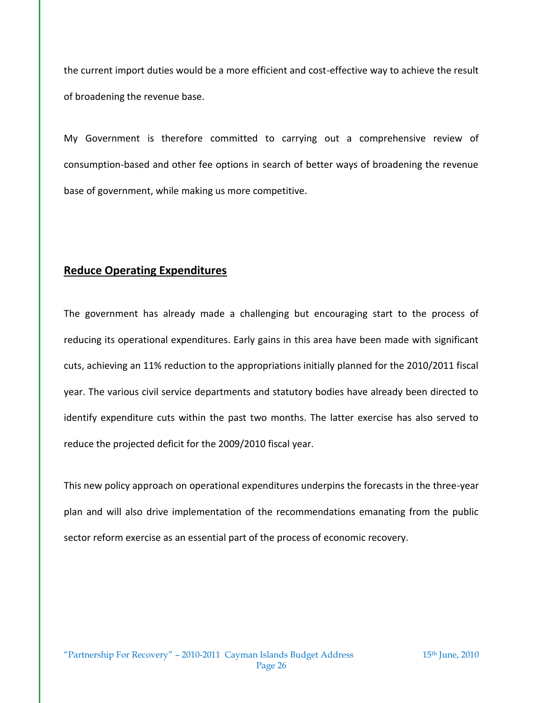the current import duties would be a more efficient and cost-effective way to achieve the result of broadening the revenue base.

My Government is therefore committed to carrying out a comprehensive review of consumption-based and other fee options in search of better ways of broadening the revenue base of government, while making us more competitive.

## **Reduce Operating Expenditures**

The government has already made a challenging but encouraging start to the process of reducing its operational expenditures. Early gains in this area have been made with significant cuts, achieving an 11% reduction to the appropriations initially planned for the 2010/2011 fiscal year. The various civil service departments and statutory bodies have already been directed to identify expenditure cuts within the past two months. The latter exercise has also served to reduce the projected deficit for the 2009/2010 fiscal year.

This new policy approach on operational expenditures underpins the forecasts in the three-year plan and will also drive implementation of the recommendations emanating from the public sector reform exercise as an essential part of the process of economic recovery.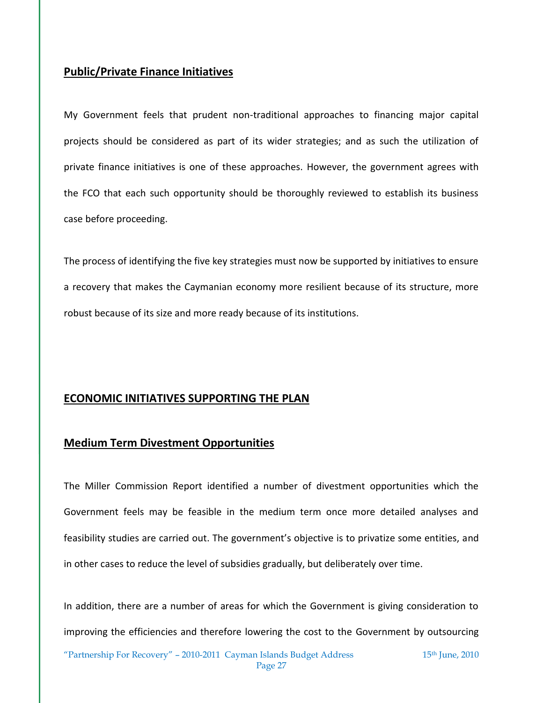## **Public/Private Finance Initiatives**

My Government feels that prudent non-traditional approaches to financing major capital projects should be considered as part of its wider strategies; and as such the utilization of private finance initiatives is one of these approaches. However, the government agrees with the FCO that each such opportunity should be thoroughly reviewed to establish its business case before proceeding.

The process of identifying the five key strategies must now be supported by initiatives to ensure a recovery that makes the Caymanian economy more resilient because of its structure, more robust because of its size and more ready because of its institutions.

## **ECONOMIC INITIATIVES SUPPORTING THE PLAN**

## **Medium Term Divestment Opportunities**

The Miller Commission Report identified a number of divestment opportunities which the Government feels may be feasible in the medium term once more detailed analyses and feasibility studies are carried out. The government's objective is to privatize some entities, and in other cases to reduce the level of subsidies gradually, but deliberately over time.

In addition, there are a number of areas for which the Government is giving consideration to improving the efficiencies and therefore lowering the cost to the Government by outsourcing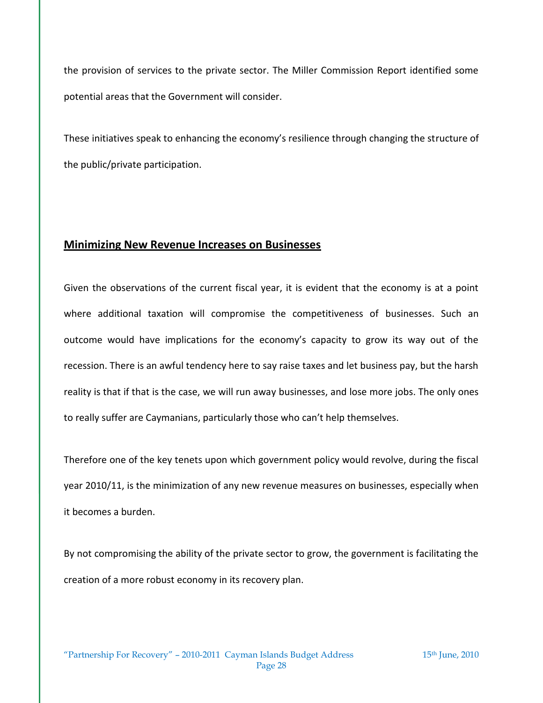the provision of services to the private sector. The Miller Commission Report identified some potential areas that the Government will consider.

These initiatives speak to enhancing the economy's resilience through changing the structure of the public/private participation.

## **Minimizing New Revenue Increases on Businesses**

Given the observations of the current fiscal year, it is evident that the economy is at a point where additional taxation will compromise the competitiveness of businesses. Such an outcome would have implications for the economy's capacity to grow its way out of the recession. There is an awful tendency here to say raise taxes and let business pay, but the harsh reality is that if that is the case, we will run away businesses, and lose more jobs. The only ones to really suffer are Caymanians, particularly those who can't help themselves.

Therefore one of the key tenets upon which government policy would revolve, during the fiscal year 2010/11, is the minimization of any new revenue measures on businesses, especially when it becomes a burden.

By not compromising the ability of the private sector to grow, the government is facilitating the creation of a more robust economy in its recovery plan.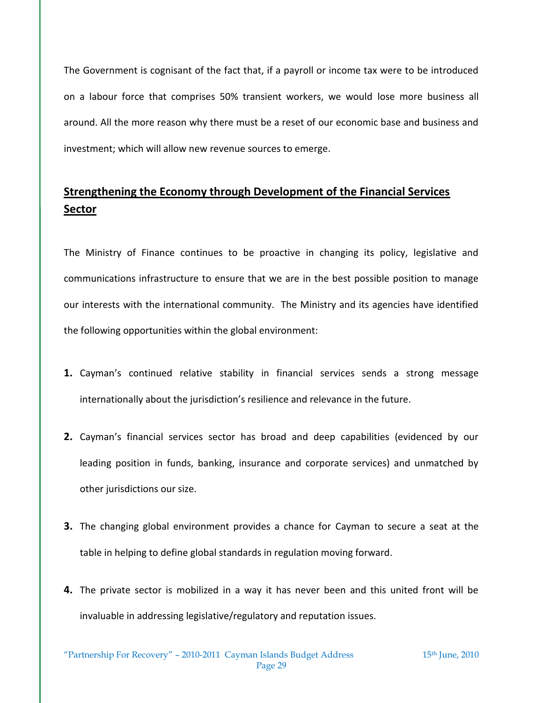The Government is cognisant of the fact that, if a payroll or income tax were to be introduced on a labour force that comprises 50% transient workers, we would lose more business all around. All the more reason why there must be a reset of our economic base and business and investment; which will allow new revenue sources to emerge.

# **Strengthening the Economy through Development of the Financial Services Sector**

The Ministry of Finance continues to be proactive in changing its policy, legislative and communications infrastructure to ensure that we are in the best possible position to manage our interests with the international community. The Ministry and its agencies have identified the following opportunities within the global environment:

- **1.** Cayman's continued relative stability in financial services sends a strong message internationally about the jurisdiction's resilience and relevance in the future.
- **2.** Cayman's financial services sector has broad and deep capabilities (evidenced by our leading position in funds, banking, insurance and corporate services) and unmatched by other jurisdictions our size.
- **3.** The changing global environment provides a chance for Cayman to secure a seat at the table in helping to define global standards in regulation moving forward.
- **4.** The private sector is mobilized in a way it has never been and this united front will be invaluable in addressing legislative/regulatory and reputation issues.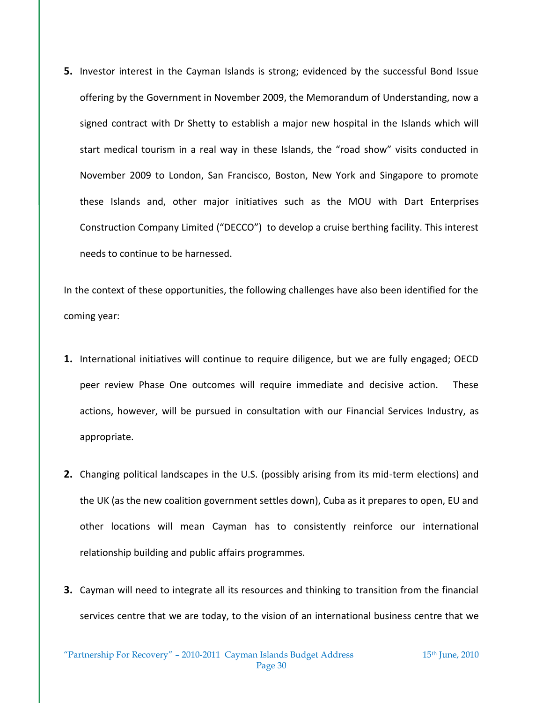**5.** Investor interest in the Cayman Islands is strong; evidenced by the successful Bond Issue offering by the Government in November 2009, the Memorandum of Understanding, now a signed contract with Dr Shetty to establish a major new hospital in the Islands which will start medical tourism in a real way in these Islands, the "road show" visits conducted in November 2009 to London, San Francisco, Boston, New York and Singapore to promote these Islands and, other major initiatives such as the MOU with Dart Enterprises Construction Company Limited ("DECCO") to develop a cruise berthing facility. This interest needs to continue to be harnessed.

In the context of these opportunities, the following challenges have also been identified for the coming year:

- **1.** International initiatives will continue to require diligence, but we are fully engaged; OECD peer review Phase One outcomes will require immediate and decisive action. These actions, however, will be pursued in consultation with our Financial Services Industry, as appropriate.
- **2.** Changing political landscapes in the U.S. (possibly arising from its mid-term elections) and the UK (as the new coalition government settles down), Cuba as it prepares to open, EU and other locations will mean Cayman has to consistently reinforce our international relationship building and public affairs programmes.
- **3.** Cayman will need to integrate all its resources and thinking to transition from the financial services centre that we are today, to the vision of an international business centre that we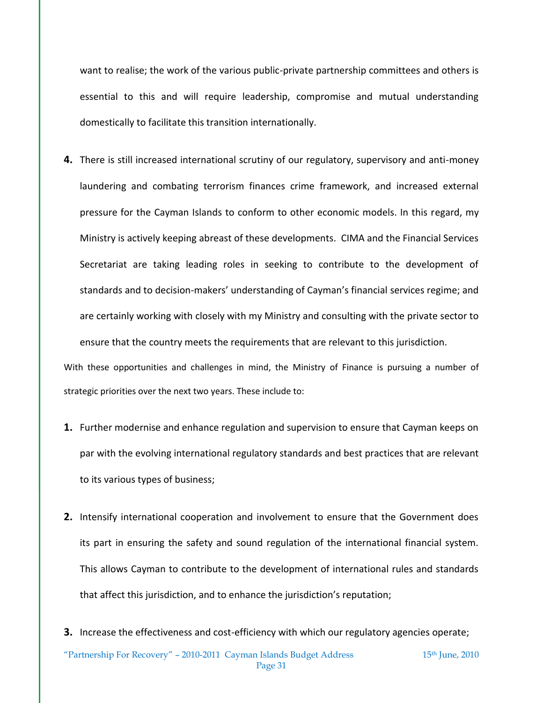want to realise; the work of the various public-private partnership committees and others is essential to this and will require leadership, compromise and mutual understanding domestically to facilitate this transition internationally.

**4.** There is still increased international scrutiny of our regulatory, supervisory and anti-money laundering and combating terrorism finances crime framework, and increased external pressure for the Cayman Islands to conform to other economic models. In this regard, my Ministry is actively keeping abreast of these developments. CIMA and the Financial Services Secretariat are taking leading roles in seeking to contribute to the development of standards and to decision-makers' understanding of Cayman's financial services regime; and are certainly working with closely with my Ministry and consulting with the private sector to ensure that the country meets the requirements that are relevant to this jurisdiction.

With these opportunities and challenges in mind, the Ministry of Finance is pursuing a number of strategic priorities over the next two years. These include to:

- **1.** Further modernise and enhance regulation and supervision to ensure that Cayman keeps on par with the evolving international regulatory standards and best practices that are relevant to its various types of business;
- **2.** Intensify international cooperation and involvement to ensure that the Government does its part in ensuring the safety and sound regulation of the international financial system. This allows Cayman to contribute to the development of international rules and standards that affect this jurisdiction, and to enhance the jurisdiction's reputation;
- **3.** Increase the effectiveness and cost-efficiency with which our regulatory agencies operate;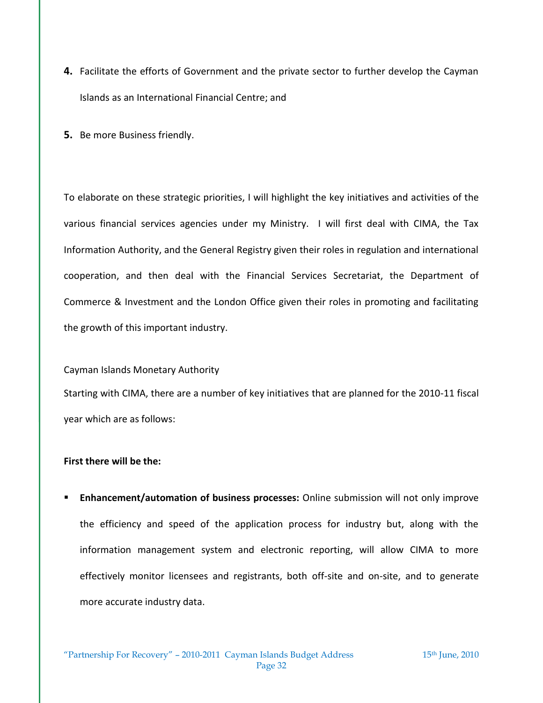- **4.** Facilitate the efforts of Government and the private sector to further develop the Cayman Islands as an International Financial Centre; and
- **5.** Be more Business friendly.

To elaborate on these strategic priorities, I will highlight the key initiatives and activities of the various financial services agencies under my Ministry. I will first deal with CIMA, the Tax Information Authority, and the General Registry given their roles in regulation and international cooperation, and then deal with the Financial Services Secretariat, the Department of Commerce & Investment and the London Office given their roles in promoting and facilitating the growth of this important industry.

Cayman Islands Monetary Authority Starting with CIMA, there are a number of key initiatives that are planned for the 2010-11 fiscal year which are as follows:

#### **First there will be the:**

**Enhancement/automation of business processes:** Online submission will not only improve the efficiency and speed of the application process for industry but, along with the information management system and electronic reporting, will allow CIMA to more effectively monitor licensees and registrants, both off-site and on-site, and to generate more accurate industry data.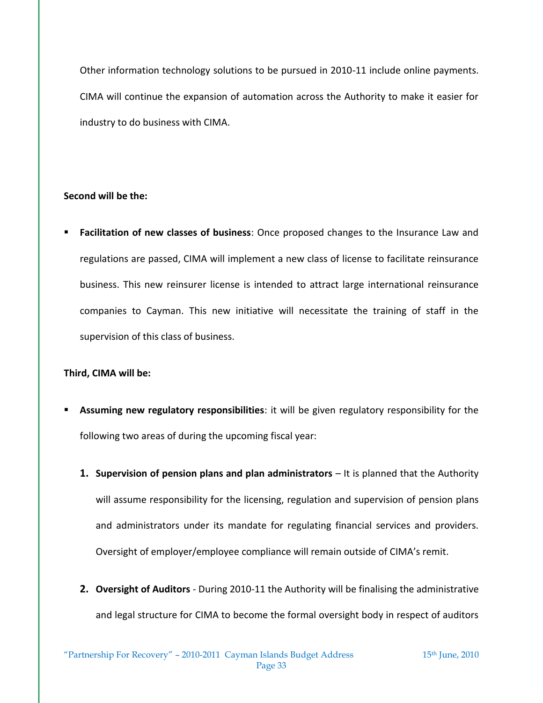Other information technology solutions to be pursued in 2010-11 include online payments. CIMA will continue the expansion of automation across the Authority to make it easier for industry to do business with CIMA.

#### **Second will be the:**

 **Facilitation of new classes of business**: Once proposed changes to the Insurance Law and regulations are passed, CIMA will implement a new class of license to facilitate reinsurance business. This new reinsurer license is intended to attract large international reinsurance companies to Cayman. This new initiative will necessitate the training of staff in the supervision of this class of business.

#### **Third, CIMA will be:**

- **Assuming new regulatory responsibilities**: it will be given regulatory responsibility for the following two areas of during the upcoming fiscal year:
	- **1. Supervision of pension plans and plan administrators** It is planned that the Authority will assume responsibility for the licensing, regulation and supervision of pension plans and administrators under its mandate for regulating financial services and providers. Oversight of employer/employee compliance will remain outside of CIMA's remit.
	- **2. Oversight of Auditors** During 2010-11 the Authority will be finalising the administrative and legal structure for CIMA to become the formal oversight body in respect of auditors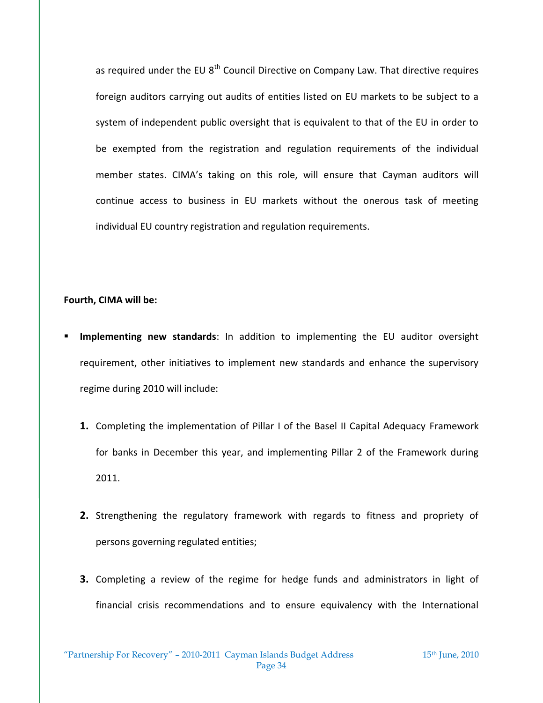as required under the EU  $8<sup>th</sup>$  Council Directive on Company Law. That directive requires foreign auditors carrying out audits of entities listed on EU markets to be subject to a system of independent public oversight that is equivalent to that of the EU in order to be exempted from the registration and regulation requirements of the individual member states. CIMA's taking on this role, will ensure that Cayman auditors will continue access to business in EU markets without the onerous task of meeting individual EU country registration and regulation requirements.

#### **Fourth, CIMA will be:**

- **Implementing new standards**: In addition to implementing the EU auditor oversight requirement, other initiatives to implement new standards and enhance the supervisory regime during 2010 will include:
	- **1.** Completing the implementation of Pillar I of the Basel II Capital Adequacy Framework for banks in December this year, and implementing Pillar 2 of the Framework during 2011.
	- **2.** Strengthening the regulatory framework with regards to fitness and propriety of persons governing regulated entities;
	- **3.** Completing a review of the regime for hedge funds and administrators in light of financial crisis recommendations and to ensure equivalency with the International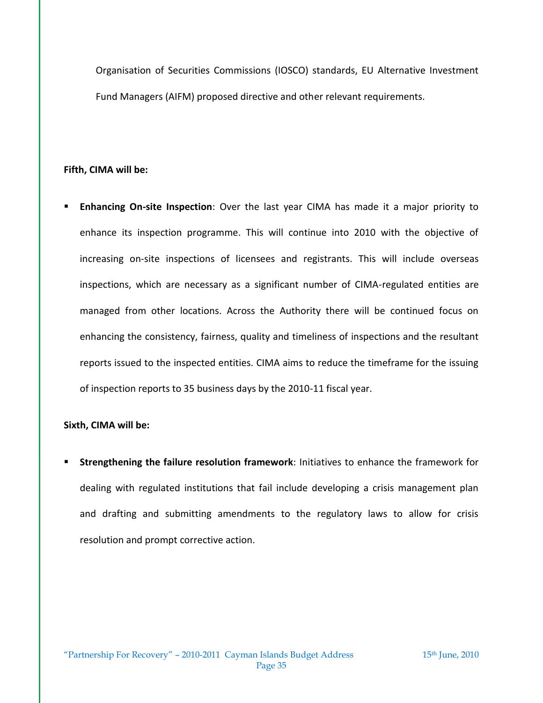Organisation of Securities Commissions (IOSCO) standards, EU Alternative Investment Fund Managers (AIFM) proposed directive and other relevant requirements.

#### **Fifth, CIMA will be:**

 **Enhancing On-site Inspection**: Over the last year CIMA has made it a major priority to enhance its inspection programme. This will continue into 2010 with the objective of increasing on-site inspections of licensees and registrants. This will include overseas inspections, which are necessary as a significant number of CIMA-regulated entities are managed from other locations. Across the Authority there will be continued focus on enhancing the consistency, fairness, quality and timeliness of inspections and the resultant reports issued to the inspected entities. CIMA aims to reduce the timeframe for the issuing of inspection reports to 35 business days by the 2010-11 fiscal year.

#### **Sixth, CIMA will be:**

 **Strengthening the failure resolution framework**: Initiatives to enhance the framework for dealing with regulated institutions that fail include developing a crisis management plan and drafting and submitting amendments to the regulatory laws to allow for crisis resolution and prompt corrective action.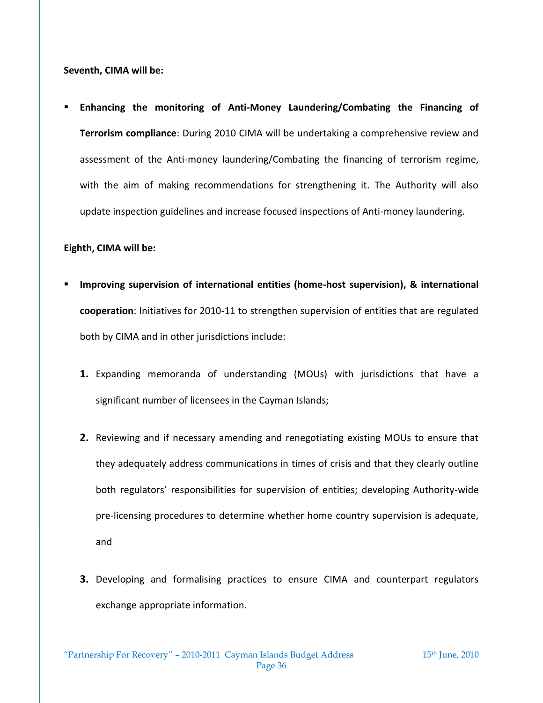**Seventh, CIMA will be:** 

 **Enhancing the monitoring of Anti-Money Laundering/Combating the Financing of Terrorism compliance**: During 2010 CIMA will be undertaking a comprehensive review and assessment of the Anti-money laundering/Combating the financing of terrorism regime, with the aim of making recommendations for strengthening it. The Authority will also update inspection guidelines and increase focused inspections of Anti-money laundering.

#### **Eighth, CIMA will be:**

- **Improving supervision of international entities (home-host supervision), & international cooperation**: Initiatives for 2010-11 to strengthen supervision of entities that are regulated both by CIMA and in other jurisdictions include:
	- **1.** Expanding memoranda of understanding (MOUs) with jurisdictions that have a significant number of licensees in the Cayman Islands;
	- **2.** Reviewing and if necessary amending and renegotiating existing MOUs to ensure that they adequately address communications in times of crisis and that they clearly outline both regulators' responsibilities for supervision of entities; developing Authority-wide pre-licensing procedures to determine whether home country supervision is adequate, and
	- **3.** Developing and formalising practices to ensure CIMA and counterpart regulators exchange appropriate information.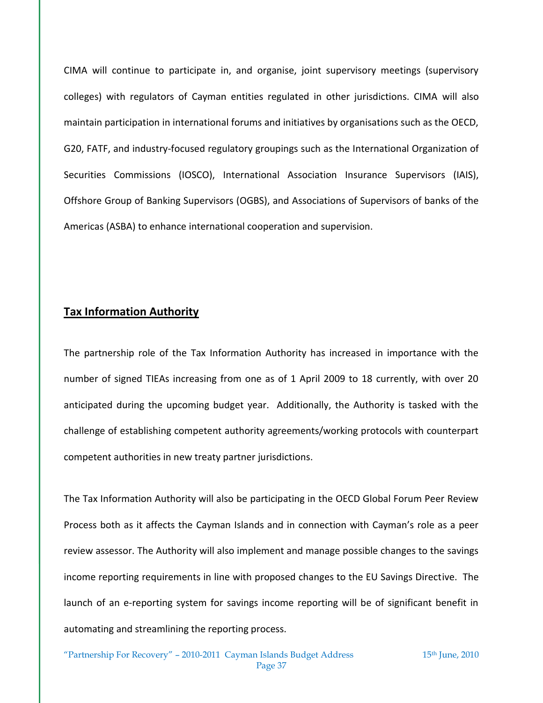CIMA will continue to participate in, and organise, joint supervisory meetings (supervisory colleges) with regulators of Cayman entities regulated in other jurisdictions. CIMA will also maintain participation in international forums and initiatives by organisations such as the OECD, G20, FATF, and industry-focused regulatory groupings such as the International Organization of Securities Commissions (IOSCO), International Association Insurance Supervisors (IAIS), Offshore Group of Banking Supervisors (OGBS), and Associations of Supervisors of banks of the Americas (ASBA) to enhance international cooperation and supervision.

### **Tax Information Authority**

The partnership role of the Tax Information Authority has increased in importance with the number of signed TIEAs increasing from one as of 1 April 2009 to 18 currently, with over 20 anticipated during the upcoming budget year. Additionally, the Authority is tasked with the challenge of establishing competent authority agreements/working protocols with counterpart competent authorities in new treaty partner jurisdictions.

The Tax Information Authority will also be participating in the OECD Global Forum Peer Review Process both as it affects the Cayman Islands and in connection with Cayman's role as a peer review assessor. The Authority will also implement and manage possible changes to the savings income reporting requirements in line with proposed changes to the EU Savings Directive. The launch of an e-reporting system for savings income reporting will be of significant benefit in automating and streamlining the reporting process.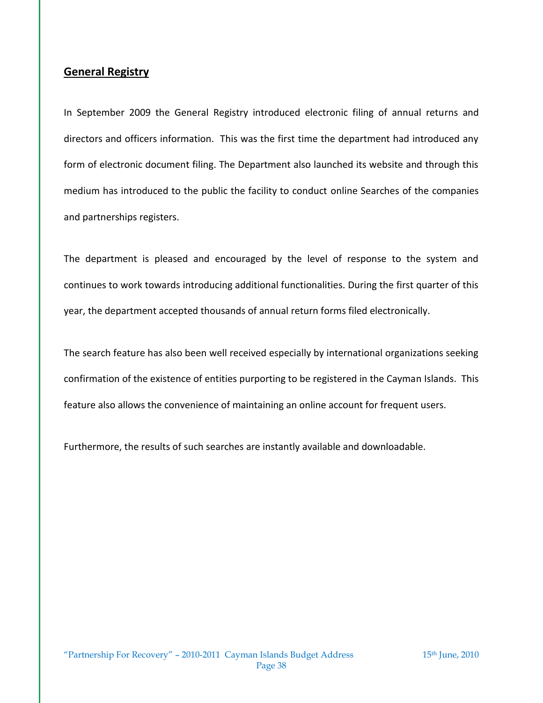## **General Registry**

In September 2009 the General Registry introduced electronic filing of annual returns and directors and officers information. This was the first time the department had introduced any form of electronic document filing. The Department also launched its website and through this medium has introduced to the public the facility to conduct online Searches of the companies and partnerships registers.

The department is pleased and encouraged by the level of response to the system and continues to work towards introducing additional functionalities. During the first quarter of this year, the department accepted thousands of annual return forms filed electronically.

The search feature has also been well received especially by international organizations seeking confirmation of the existence of entities purporting to be registered in the Cayman Islands. This feature also allows the convenience of maintaining an online account for frequent users.

Furthermore, the results of such searches are instantly available and downloadable.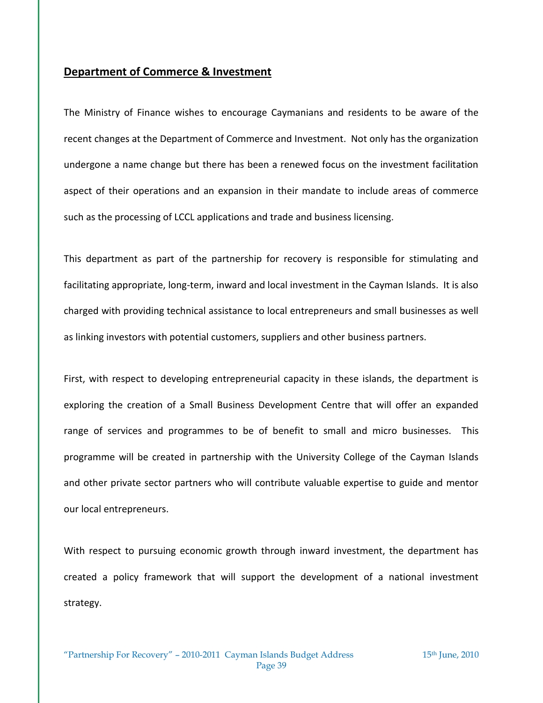### **Department of Commerce & Investment**

The Ministry of Finance wishes to encourage Caymanians and residents to be aware of the recent changes at the Department of Commerce and Investment. Not only has the organization undergone a name change but there has been a renewed focus on the investment facilitation aspect of their operations and an expansion in their mandate to include areas of commerce such as the processing of LCCL applications and trade and business licensing.

This department as part of the partnership for recovery is responsible for stimulating and facilitating appropriate, long-term, inward and local investment in the Cayman Islands. It is also charged with providing technical assistance to local entrepreneurs and small businesses as well as linking investors with potential customers, suppliers and other business partners.

First, with respect to developing entrepreneurial capacity in these islands, the department is exploring the creation of a Small Business Development Centre that will offer an expanded range of services and programmes to be of benefit to small and micro businesses. This programme will be created in partnership with the University College of the Cayman Islands and other private sector partners who will contribute valuable expertise to guide and mentor our local entrepreneurs.

With respect to pursuing economic growth through inward investment, the department has created a policy framework that will support the development of a national investment strategy.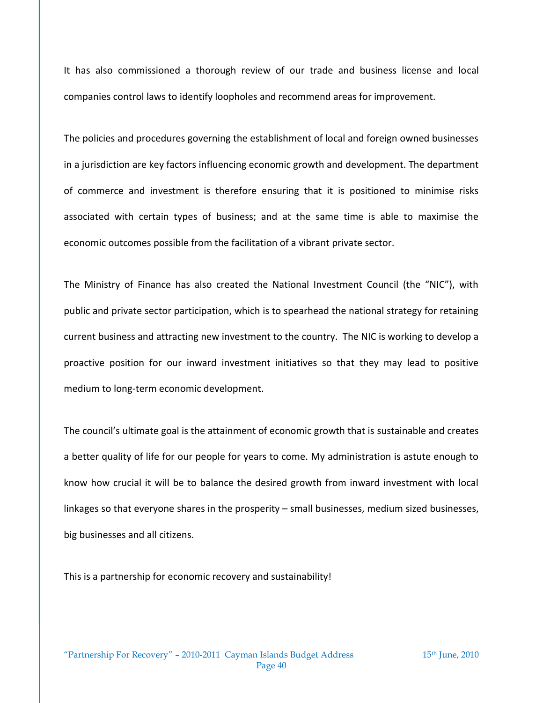It has also commissioned a thorough review of our trade and business license and local companies control laws to identify loopholes and recommend areas for improvement.

The policies and procedures governing the establishment of local and foreign owned businesses in a jurisdiction are key factors influencing economic growth and development. The department of commerce and investment is therefore ensuring that it is positioned to minimise risks associated with certain types of business; and at the same time is able to maximise the economic outcomes possible from the facilitation of a vibrant private sector.

The Ministry of Finance has also created the National Investment Council (the "NIC"), with public and private sector participation, which is to spearhead the national strategy for retaining current business and attracting new investment to the country. The NIC is working to develop a proactive position for our inward investment initiatives so that they may lead to positive medium to long-term economic development.

The council's ultimate goal is the attainment of economic growth that is sustainable and creates a better quality of life for our people for years to come. My administration is astute enough to know how crucial it will be to balance the desired growth from inward investment with local linkages so that everyone shares in the prosperity – small businesses, medium sized businesses, big businesses and all citizens.

This is a partnership for economic recovery and sustainability!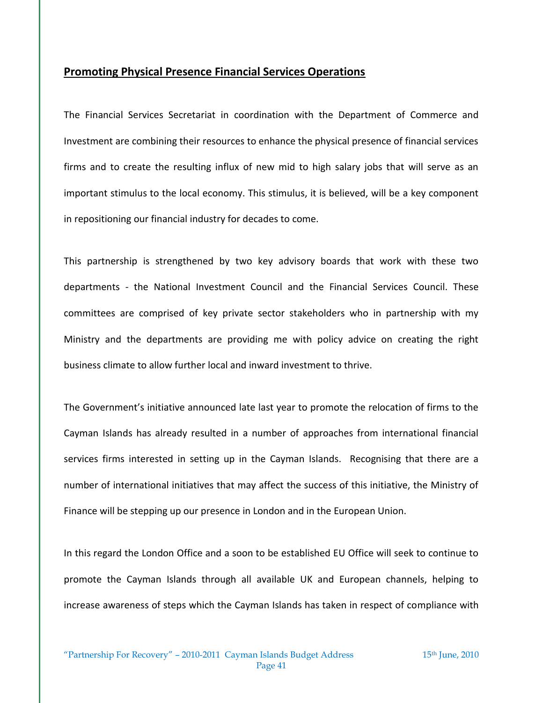### **Promoting Physical Presence Financial Services Operations**

The Financial Services Secretariat in coordination with the Department of Commerce and Investment are combining their resources to enhance the physical presence of financial services firms and to create the resulting influx of new mid to high salary jobs that will serve as an important stimulus to the local economy. This stimulus, it is believed, will be a key component in repositioning our financial industry for decades to come.

This partnership is strengthened by two key advisory boards that work with these two departments - the National Investment Council and the Financial Services Council. These committees are comprised of key private sector stakeholders who in partnership with my Ministry and the departments are providing me with policy advice on creating the right business climate to allow further local and inward investment to thrive.

The Government's initiative announced late last year to promote the relocation of firms to the Cayman Islands has already resulted in a number of approaches from international financial services firms interested in setting up in the Cayman Islands. Recognising that there are a number of international initiatives that may affect the success of this initiative, the Ministry of Finance will be stepping up our presence in London and in the European Union.

In this regard the London Office and a soon to be established EU Office will seek to continue to promote the Cayman Islands through all available UK and European channels, helping to increase awareness of steps which the Cayman Islands has taken in respect of compliance with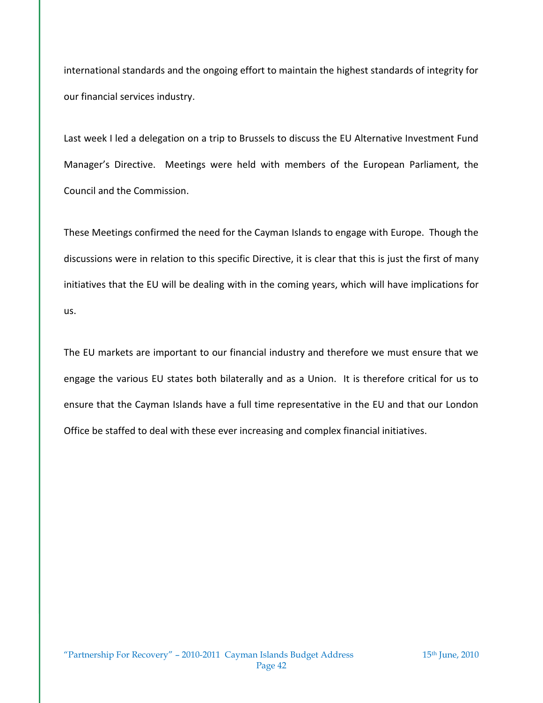international standards and the ongoing effort to maintain the highest standards of integrity for our financial services industry.

Last week I led a delegation on a trip to Brussels to discuss the EU Alternative Investment Fund Manager's Directive. Meetings were held with members of the European Parliament, the Council and the Commission.

These Meetings confirmed the need for the Cayman Islands to engage with Europe. Though the discussions were in relation to this specific Directive, it is clear that this is just the first of many initiatives that the EU will be dealing with in the coming years, which will have implications for us.

The EU markets are important to our financial industry and therefore we must ensure that we engage the various EU states both bilaterally and as a Union. It is therefore critical for us to ensure that the Cayman Islands have a full time representative in the EU and that our London Office be staffed to deal with these ever increasing and complex financial initiatives.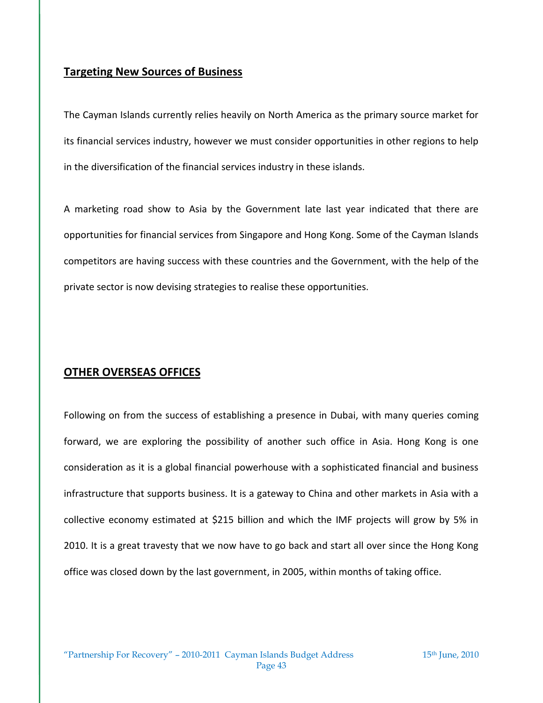## **Targeting New Sources of Business**

The Cayman Islands currently relies heavily on North America as the primary source market for its financial services industry, however we must consider opportunities in other regions to help in the diversification of the financial services industry in these islands.

A marketing road show to Asia by the Government late last year indicated that there are opportunities for financial services from Singapore and Hong Kong. Some of the Cayman Islands competitors are having success with these countries and the Government, with the help of the private sector is now devising strategies to realise these opportunities.

## **OTHER OVERSEAS OFFICES**

Following on from the success of establishing a presence in Dubai, with many queries coming forward, we are exploring the possibility of another such office in Asia. Hong Kong is one consideration as it is a global financial powerhouse with a sophisticated financial and business infrastructure that supports business. It is a gateway to China and other markets in Asia with a collective economy estimated at \$215 billion and which the IMF projects will grow by 5% in 2010. It is a great travesty that we now have to go back and start all over since the Hong Kong office was closed down by the last government, in 2005, within months of taking office.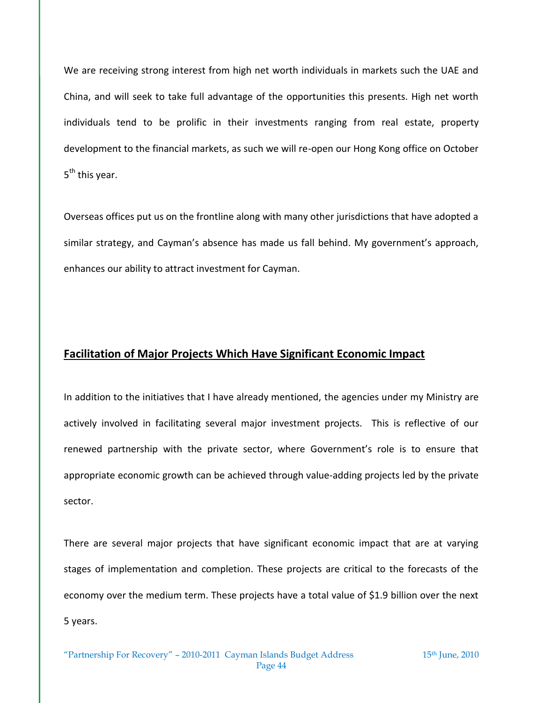We are receiving strong interest from high net worth individuals in markets such the UAE and China, and will seek to take full advantage of the opportunities this presents. High net worth individuals tend to be prolific in their investments ranging from real estate, property development to the financial markets, as such we will re-open our Hong Kong office on October 5<sup>th</sup> this year.

Overseas offices put us on the frontline along with many other jurisdictions that have adopted a similar strategy, and Cayman's absence has made us fall behind. My government's approach, enhances our ability to attract investment for Cayman.

## **Facilitation of Major Projects Which Have Significant Economic Impact**

In addition to the initiatives that I have already mentioned, the agencies under my Ministry are actively involved in facilitating several major investment projects. This is reflective of our renewed partnership with the private sector, where Government's role is to ensure that appropriate economic growth can be achieved through value-adding projects led by the private sector.

There are several major projects that have significant economic impact that are at varying stages of implementation and completion. These projects are critical to the forecasts of the economy over the medium term. These projects have a total value of \$1.9 billion over the next 5 years.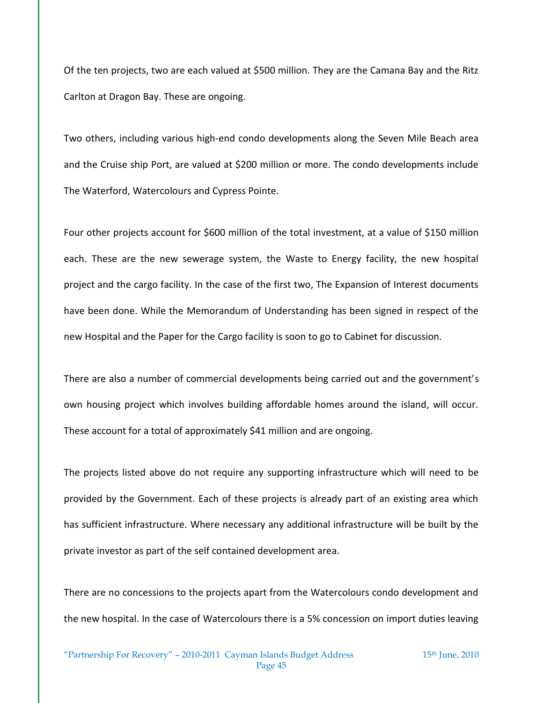Of the ten projects, two are each valued at \$500 million. They are the Camana Bay and the Ritz Carlton at Dragon Bay. These are ongoing.

Two others, including various high-end condo developments along the Seven Mile Beach area and the Cruise ship Port, are valued at \$200 million or more. The condo developments include The Waterford, Watercolours and Cypress Pointe.

Four other projects account for \$600 million of the total investment, at a value of \$150 million each. These are the new sewerage system, the Waste to Energy facility, the new hospital project and the cargo facility. In the case of the first two, The Expansion of Interest documents have been done. While the Memorandum of Understanding has been signed in respect of the new Hospital and the Paper for the Cargo facility is soon to go to Cabinet for discussion.

There are also a number of commercial developments being carried out and the government's own housing project which involves building affordable homes around the island, will occur. These account for a total of approximately \$41 million and are ongoing.

The projects listed above do not require any supporting infrastructure which will need to be provided by the Government. Each of these projects is already part of an existing area which has sufficient infrastructure. Where necessary any additional infrastructure will be built by the private investor as part of the self contained development area.

There are no concessions to the projects apart from the Watercolours condo development and the new hospital. In the case of Watercolours there is a 5% concession on import duties leaving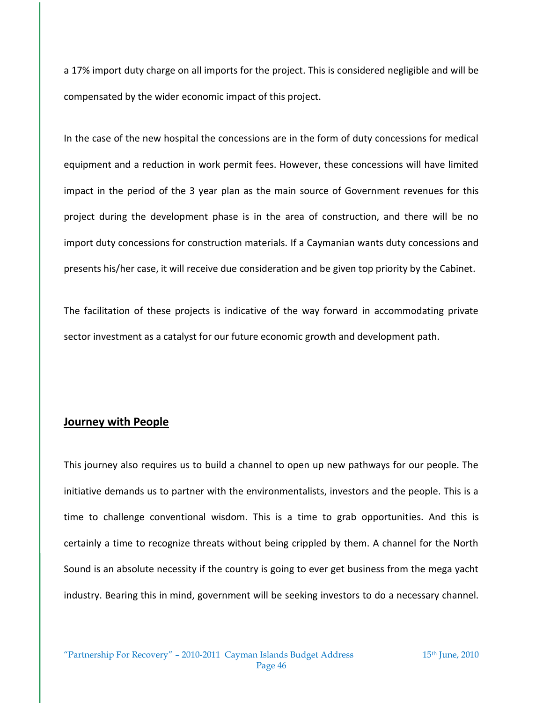a 17% import duty charge on all imports for the project. This is considered negligible and will be compensated by the wider economic impact of this project.

In the case of the new hospital the concessions are in the form of duty concessions for medical equipment and a reduction in work permit fees. However, these concessions will have limited impact in the period of the 3 year plan as the main source of Government revenues for this project during the development phase is in the area of construction, and there will be no import duty concessions for construction materials. If a Caymanian wants duty concessions and presents his/her case, it will receive due consideration and be given top priority by the Cabinet.

The facilitation of these projects is indicative of the way forward in accommodating private sector investment as a catalyst for our future economic growth and development path.

### **Journey with People**

This journey also requires us to build a channel to open up new pathways for our people. The initiative demands us to partner with the environmentalists, investors and the people. This is a time to challenge conventional wisdom. This is a time to grab opportunities. And this is certainly a time to recognize threats without being crippled by them. A channel for the North Sound is an absolute necessity if the country is going to ever get business from the mega yacht industry. Bearing this in mind, government will be seeking investors to do a necessary channel.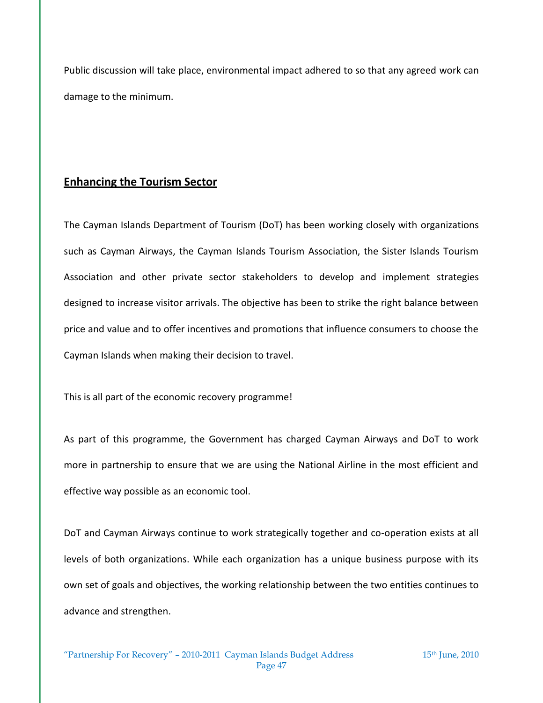Public discussion will take place, environmental impact adhered to so that any agreed work can damage to the minimum.

## **Enhancing the Tourism Sector**

The Cayman Islands Department of Tourism (DoT) has been working closely with organizations such as Cayman Airways, the Cayman Islands Tourism Association, the Sister Islands Tourism Association and other private sector stakeholders to develop and implement strategies designed to increase visitor arrivals. The objective has been to strike the right balance between price and value and to offer incentives and promotions that influence consumers to choose the Cayman Islands when making their decision to travel.

This is all part of the economic recovery programme!

As part of this programme, the Government has charged Cayman Airways and DoT to work more in partnership to ensure that we are using the National Airline in the most efficient and effective way possible as an economic tool.

DoT and Cayman Airways continue to work strategically together and co-operation exists at all levels of both organizations. While each organization has a unique business purpose with its own set of goals and objectives, the working relationship between the two entities continues to advance and strengthen.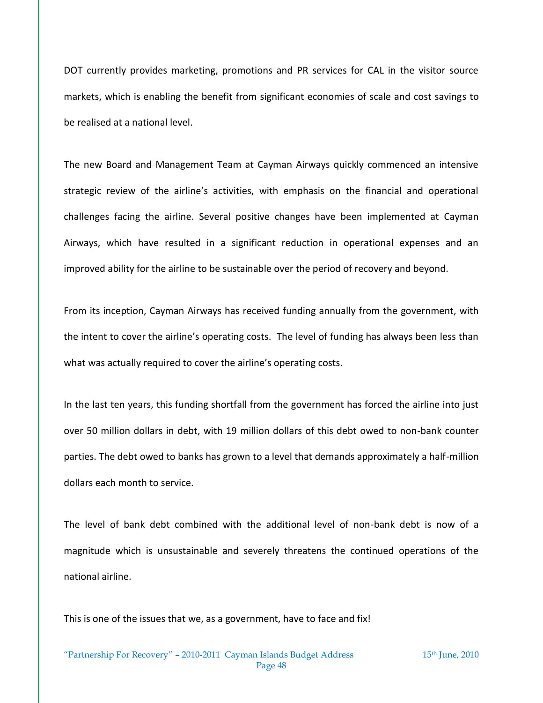DOT currently provides marketing, promotions and PR services for CAL in the visitor source markets, which is enabling the benefit from significant economies of scale and cost savings to be realised at a national level.

The new Board and Management Team at Cayman Airways quickly commenced an intensive strategic review of the airline's activities, with emphasis on the financial and operational challenges facing the airline. Several positive changes have been implemented at Cayman Airways, which have resulted in a significant reduction in operational expenses and an improved ability for the airline to be sustainable over the period of recovery and beyond.

From its inception, Cayman Airways has received funding annually from the government, with the intent to cover the airline's operating costs. The level of funding has always been less than what was actually required to cover the airline's operating costs.

In the last ten years, this funding shortfall from the government has forced the airline into just over 50 million dollars in debt, with 19 million dollars of this debt owed to non-bank counter parties. The debt owed to banks has grown to a level that demands approximately a half-million dollars each month to service.

The level of bank debt combined with the additional level of non-bank debt is now of a magnitude which is unsustainable and severely threatens the continued operations of the national airline.

This is one of the issues that we, as a government, have to face and fix!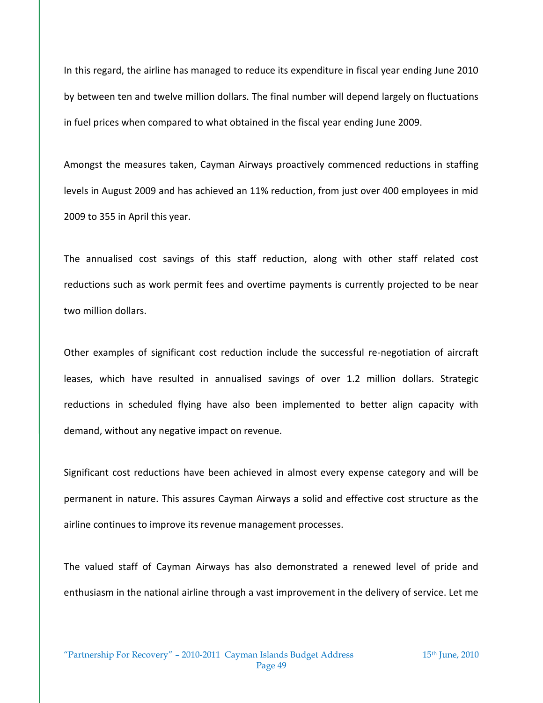In this regard, the airline has managed to reduce its expenditure in fiscal year ending June 2010 by between ten and twelve million dollars. The final number will depend largely on fluctuations in fuel prices when compared to what obtained in the fiscal year ending June 2009.

Amongst the measures taken, Cayman Airways proactively commenced reductions in staffing levels in August 2009 and has achieved an 11% reduction, from just over 400 employees in mid 2009 to 355 in April this year.

The annualised cost savings of this staff reduction, along with other staff related cost reductions such as work permit fees and overtime payments is currently projected to be near two million dollars.

Other examples of significant cost reduction include the successful re-negotiation of aircraft leases, which have resulted in annualised savings of over 1.2 million dollars. Strategic reductions in scheduled flying have also been implemented to better align capacity with demand, without any negative impact on revenue.

Significant cost reductions have been achieved in almost every expense category and will be permanent in nature. This assures Cayman Airways a solid and effective cost structure as the airline continues to improve its revenue management processes.

The valued staff of Cayman Airways has also demonstrated a renewed level of pride and enthusiasm in the national airline through a vast improvement in the delivery of service. Let me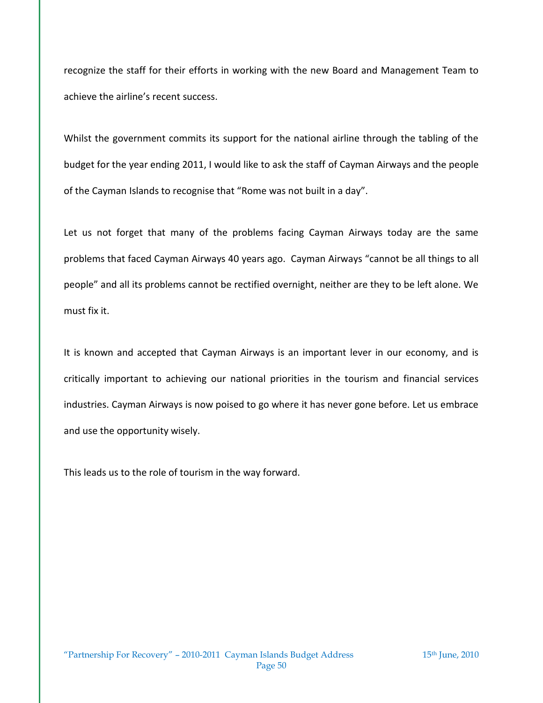recognize the staff for their efforts in working with the new Board and Management Team to achieve the airline's recent success.

Whilst the government commits its support for the national airline through the tabling of the budget for the year ending 2011, I would like to ask the staff of Cayman Airways and the people of the Cayman Islands to recognise that "Rome was not built in a day".

Let us not forget that many of the problems facing Cayman Airways today are the same problems that faced Cayman Airways 40 years ago. Cayman Airways "cannot be all things to all people" and all its problems cannot be rectified overnight, neither are they to be left alone. We must fix it.

It is known and accepted that Cayman Airways is an important lever in our economy, and is critically important to achieving our national priorities in the tourism and financial services industries. Cayman Airways is now poised to go where it has never gone before. Let us embrace and use the opportunity wisely.

This leads us to the role of tourism in the way forward.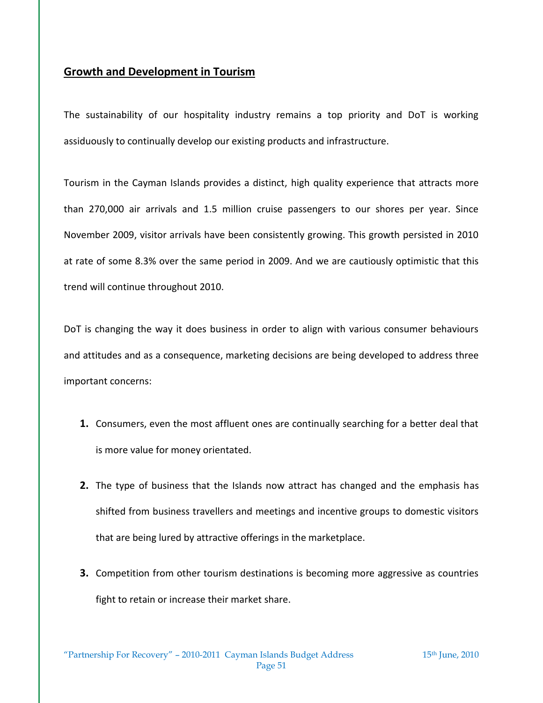## **Growth and Development in Tourism**

The sustainability of our hospitality industry remains a top priority and DoT is working assiduously to continually develop our existing products and infrastructure.

Tourism in the Cayman Islands provides a distinct, high quality experience that attracts more than 270,000 air arrivals and 1.5 million cruise passengers to our shores per year. Since November 2009, visitor arrivals have been consistently growing. This growth persisted in 2010 at rate of some 8.3% over the same period in 2009. And we are cautiously optimistic that this trend will continue throughout 2010.

DoT is changing the way it does business in order to align with various consumer behaviours and attitudes and as a consequence, marketing decisions are being developed to address three important concerns:

- **1.** Consumers, even the most affluent ones are continually searching for a better deal that is more value for money orientated.
- **2.** The type of business that the Islands now attract has changed and the emphasis has shifted from business travellers and meetings and incentive groups to domestic visitors that are being lured by attractive offerings in the marketplace.
- **3.** Competition from other tourism destinations is becoming more aggressive as countries fight to retain or increase their market share.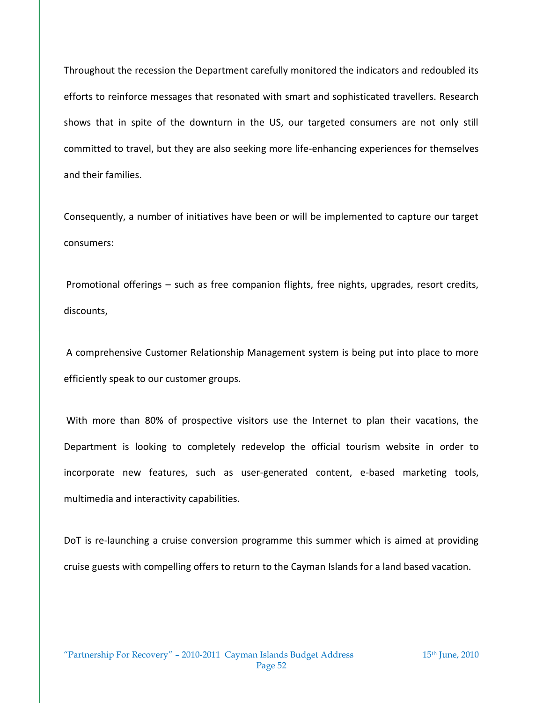Throughout the recession the Department carefully monitored the indicators and redoubled its efforts to reinforce messages that resonated with smart and sophisticated travellers. Research shows that in spite of the downturn in the US, our targeted consumers are not only still committed to travel, but they are also seeking more life-enhancing experiences for themselves and their families.

Consequently, a number of initiatives have been or will be implemented to capture our target consumers:

Promotional offerings – such as free companion flights, free nights, upgrades, resort credits, discounts,

A comprehensive Customer Relationship Management system is being put into place to more efficiently speak to our customer groups.

With more than 80% of prospective visitors use the Internet to plan their vacations, the Department is looking to completely redevelop the official tourism website in order to incorporate new features, such as user-generated content, e-based marketing tools, multimedia and interactivity capabilities.

DoT is re-launching a cruise conversion programme this summer which is aimed at providing cruise guests with compelling offers to return to the Cayman Islands for a land based vacation.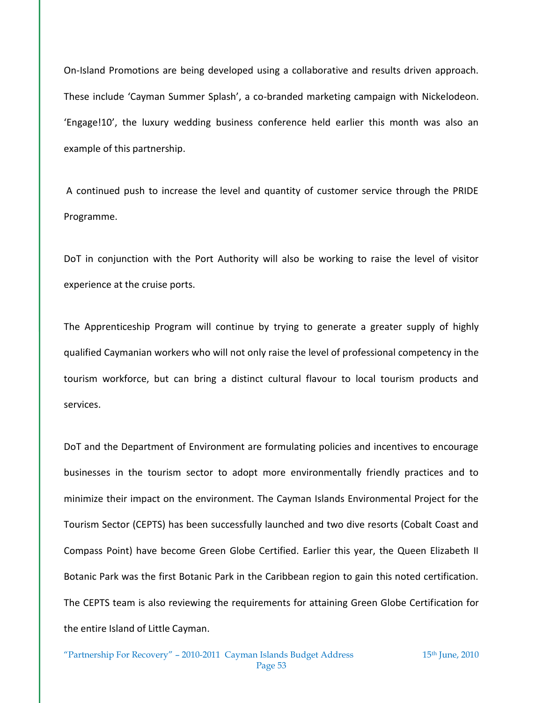On-Island Promotions are being developed using a collaborative and results driven approach. These include 'Cayman Summer Splash', a co-branded marketing campaign with Nickelodeon. 'Engage!10', the luxury wedding business conference held earlier this month was also an example of this partnership.

A continued push to increase the level and quantity of customer service through the PRIDE Programme.

DoT in conjunction with the Port Authority will also be working to raise the level of visitor experience at the cruise ports.

The Apprenticeship Program will continue by trying to generate a greater supply of highly qualified Caymanian workers who will not only raise the level of professional competency in the tourism workforce, but can bring a distinct cultural flavour to local tourism products and services.

DoT and the Department of Environment are formulating policies and incentives to encourage businesses in the tourism sector to adopt more environmentally friendly practices and to minimize their impact on the environment. The Cayman Islands Environmental Project for the Tourism Sector (CEPTS) has been successfully launched and two dive resorts (Cobalt Coast and Compass Point) have become Green Globe Certified. Earlier this year, the Queen Elizabeth II Botanic Park was the first Botanic Park in the Caribbean region to gain this noted certification. The CEPTS team is also reviewing the requirements for attaining Green Globe Certification for the entire Island of Little Cayman.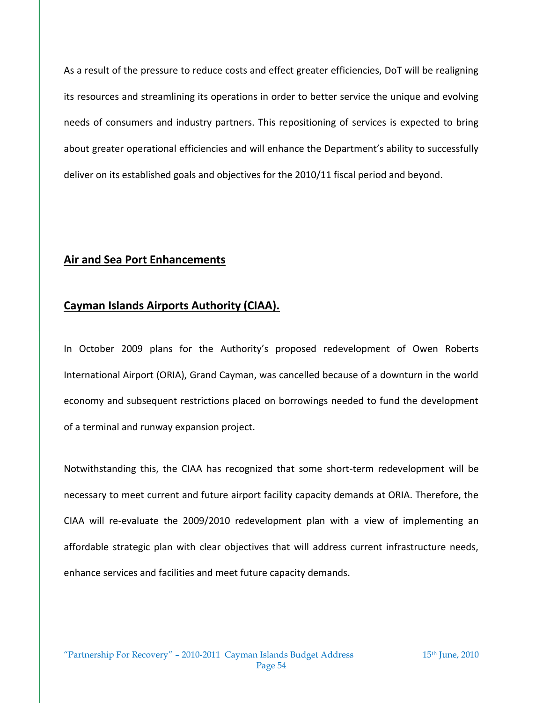As a result of the pressure to reduce costs and effect greater efficiencies, DoT will be realigning its resources and streamlining its operations in order to better service the unique and evolving needs of consumers and industry partners. This repositioning of services is expected to bring about greater operational efficiencies and will enhance the Department's ability to successfully deliver on its established goals and objectives for the 2010/11 fiscal period and beyond.

## **Air and Sea Port Enhancements**

## **Cayman Islands Airports Authority (CIAA).**

In October 2009 plans for the Authority's proposed redevelopment of Owen Roberts International Airport (ORIA), Grand Cayman, was cancelled because of a downturn in the world economy and subsequent restrictions placed on borrowings needed to fund the development of a terminal and runway expansion project.

Notwithstanding this, the CIAA has recognized that some short-term redevelopment will be necessary to meet current and future airport facility capacity demands at ORIA. Therefore, the CIAA will re-evaluate the 2009/2010 redevelopment plan with a view of implementing an affordable strategic plan with clear objectives that will address current infrastructure needs, enhance services and facilities and meet future capacity demands.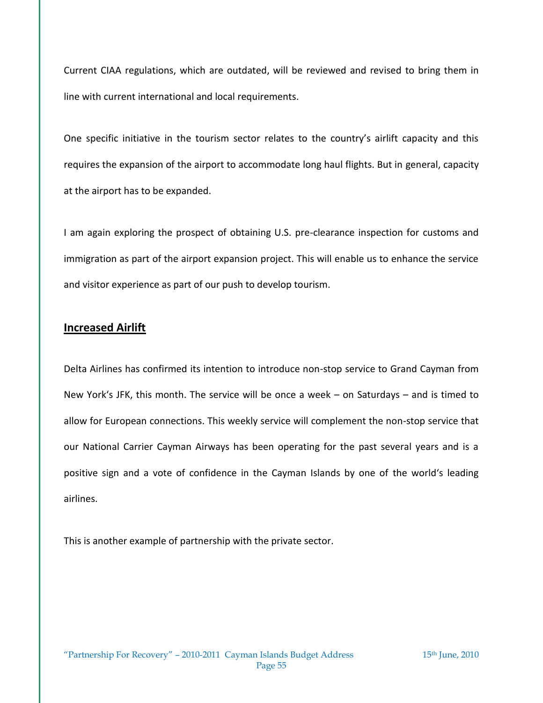Current CIAA regulations, which are outdated, will be reviewed and revised to bring them in line with current international and local requirements.

One specific initiative in the tourism sector relates to the country's airlift capacity and this requires the expansion of the airport to accommodate long haul flights. But in general, capacity at the airport has to be expanded.

I am again exploring the prospect of obtaining U.S. pre-clearance inspection for customs and immigration as part of the airport expansion project. This will enable us to enhance the service and visitor experience as part of our push to develop tourism.

### **Increased Airlift**

Delta Airlines has confirmed its intention to introduce non-stop service to Grand Cayman from New York's JFK, this month. The service will be once a week – on Saturdays – and is timed to allow for European connections. This weekly service will complement the non-stop service that our National Carrier Cayman Airways has been operating for the past several years and is a positive sign and a vote of confidence in the Cayman Islands by one of the world's leading airlines.

This is another example of partnership with the private sector.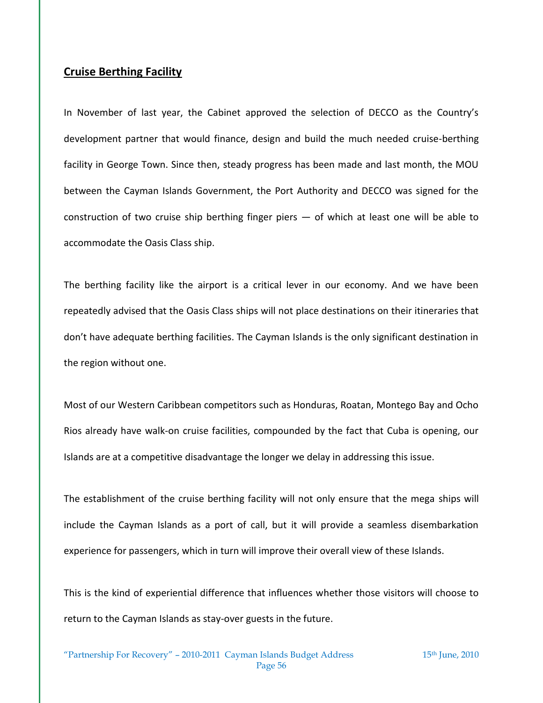### **Cruise Berthing Facility**

In November of last year, the Cabinet approved the selection of DECCO as the Country's development partner that would finance, design and build the much needed cruise-berthing facility in George Town. Since then, steady progress has been made and last month, the MOU between the Cayman Islands Government, the Port Authority and DECCO was signed for the construction of two cruise ship berthing finger piers — of which at least one will be able to accommodate the Oasis Class ship.

The berthing facility like the airport is a critical lever in our economy. And we have been repeatedly advised that the Oasis Class ships will not place destinations on their itineraries that don't have adequate berthing facilities. The Cayman Islands is the only significant destination in the region without one.

Most of our Western Caribbean competitors such as Honduras, Roatan, Montego Bay and Ocho Rios already have walk-on cruise facilities, compounded by the fact that Cuba is opening, our Islands are at a competitive disadvantage the longer we delay in addressing this issue.

The establishment of the cruise berthing facility will not only ensure that the mega ships will include the Cayman Islands as a port of call, but it will provide a seamless disembarkation experience for passengers, which in turn will improve their overall view of these Islands.

This is the kind of experiential difference that influences whether those visitors will choose to return to the Cayman Islands as stay-over guests in the future.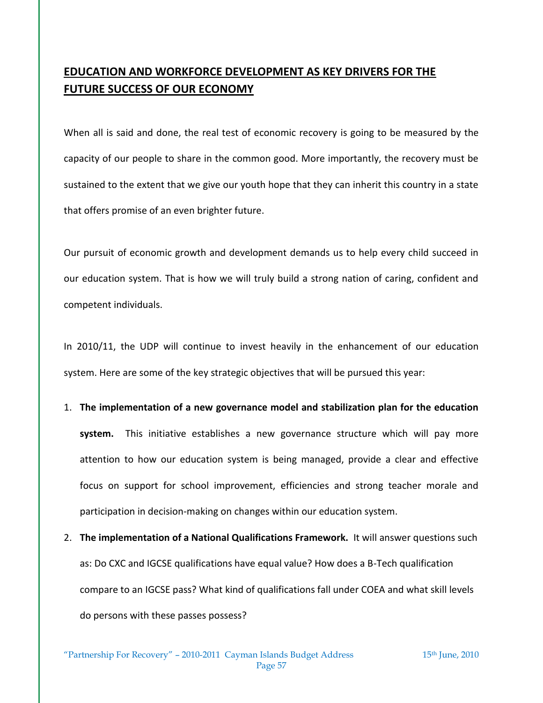# **EDUCATION AND WORKFORCE DEVELOPMENT AS KEY DRIVERS FOR THE FUTURE SUCCESS OF OUR ECONOMY**

When all is said and done, the real test of economic recovery is going to be measured by the capacity of our people to share in the common good. More importantly, the recovery must be sustained to the extent that we give our youth hope that they can inherit this country in a state that offers promise of an even brighter future.

Our pursuit of economic growth and development demands us to help every child succeed in our education system. That is how we will truly build a strong nation of caring, confident and competent individuals.

In 2010/11, the UDP will continue to invest heavily in the enhancement of our education system. Here are some of the key strategic objectives that will be pursued this year:

1. **The implementation of a new governance model and stabilization plan for the education** 

**system.** This initiative establishes a new governance structure which will pay more attention to how our education system is being managed, provide a clear and effective focus on support for school improvement, efficiencies and strong teacher morale and participation in decision-making on changes within our education system.

2. **The implementation of a National Qualifications Framework.** It will answer questions such as: Do CXC and IGCSE qualifications have equal value? How does a B-Tech qualification compare to an IGCSE pass? What kind of qualifications fall under COEA and what skill levels do persons with these passes possess?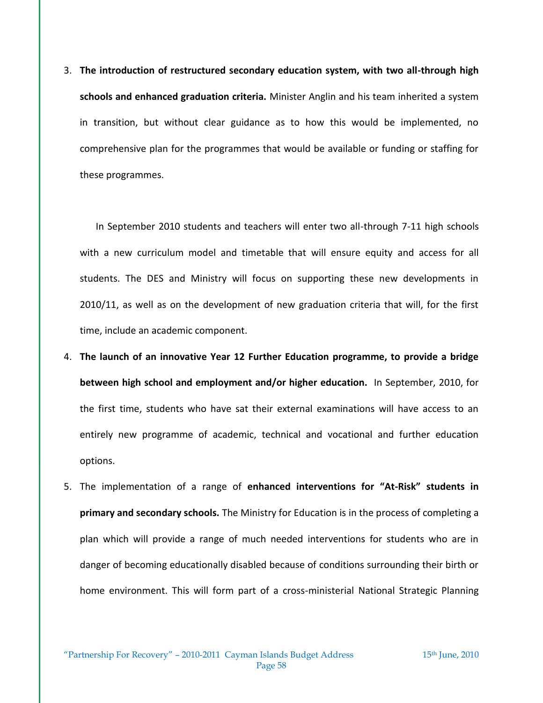3. **The introduction of restructured secondary education system, with two all-through high schools and enhanced graduation criteria.** Minister Anglin and his team inherited a system in transition, but without clear guidance as to how this would be implemented, no comprehensive plan for the programmes that would be available or funding or staffing for these programmes.

In September 2010 students and teachers will enter two all-through 7-11 high schools with a new curriculum model and timetable that will ensure equity and access for all students. The DES and Ministry will focus on supporting these new developments in 2010/11, as well as on the development of new graduation criteria that will, for the first time, include an academic component.

- 4. **The launch of an innovative Year 12 Further Education programme, to provide a bridge between high school and employment and/or higher education.** In September, 2010, for the first time, students who have sat their external examinations will have access to an entirely new programme of academic, technical and vocational and further education options.
- 5. The implementation of a range of **enhanced interventions for "At-Risk" students in primary and secondary schools.** The Ministry for Education is in the process of completing a plan which will provide a range of much needed interventions for students who are in danger of becoming educationally disabled because of conditions surrounding their birth or home environment. This will form part of a cross-ministerial National Strategic Planning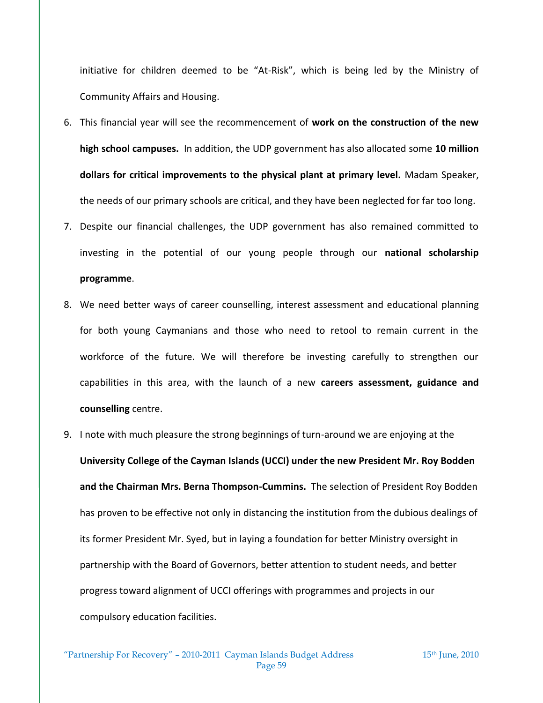initiative for children deemed to be "At-Risk", which is being led by the Ministry of Community Affairs and Housing.

- 6. This financial year will see the recommencement of **work on the construction of the new high school campuses.** In addition, the UDP government has also allocated some **10 million dollars for critical improvements to the physical plant at primary level.** Madam Speaker, the needs of our primary schools are critical, and they have been neglected for far too long.
- 7. Despite our financial challenges, the UDP government has also remained committed to investing in the potential of our young people through our **national scholarship programme**.
- 8. We need better ways of career counselling, interest assessment and educational planning for both young Caymanians and those who need to retool to remain current in the workforce of the future. We will therefore be investing carefully to strengthen our capabilities in this area, with the launch of a new **careers assessment, guidance and counselling** centre.
- 9. I note with much pleasure the strong beginnings of turn-around we are enjoying at the

**University College of the Cayman Islands (UCCI) under the new President Mr. Roy Bodden and the Chairman Mrs. Berna Thompson-Cummins.** The selection of President Roy Bodden has proven to be effective not only in distancing the institution from the dubious dealings of its former President Mr. Syed, but in laying a foundation for better Ministry oversight in partnership with the Board of Governors, better attention to student needs, and better progress toward alignment of UCCI offerings with programmes and projects in our compulsory education facilities.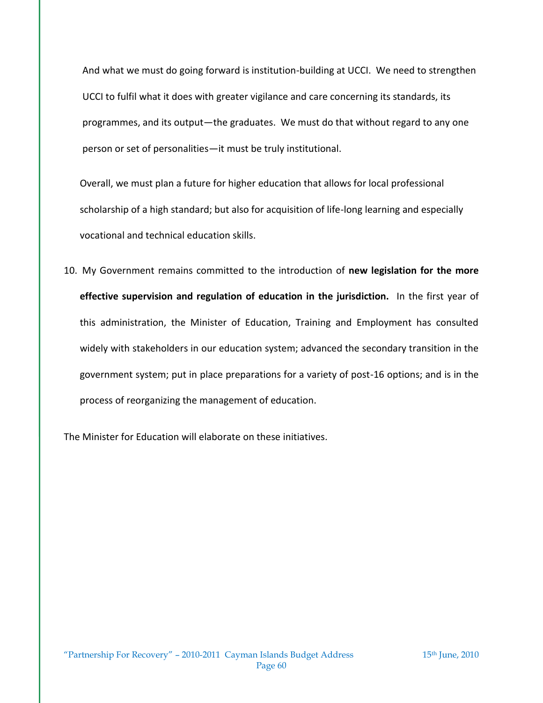And what we must do going forward is institution-building at UCCI. We need to strengthen UCCI to fulfil what it does with greater vigilance and care concerning its standards, its programmes, and its output—the graduates. We must do that without regard to any one person or set of personalities—it must be truly institutional.

Overall, we must plan a future for higher education that allows for local professional scholarship of a high standard; but also for acquisition of life-long learning and especially vocational and technical education skills.

10. My Government remains committed to the introduction of **new legislation for the more effective supervision and regulation of education in the jurisdiction.** In the first year of this administration, the Minister of Education, Training and Employment has consulted widely with stakeholders in our education system; advanced the secondary transition in the government system; put in place preparations for a variety of post-16 options; and is in the process of reorganizing the management of education.

The Minister for Education will elaborate on these initiatives.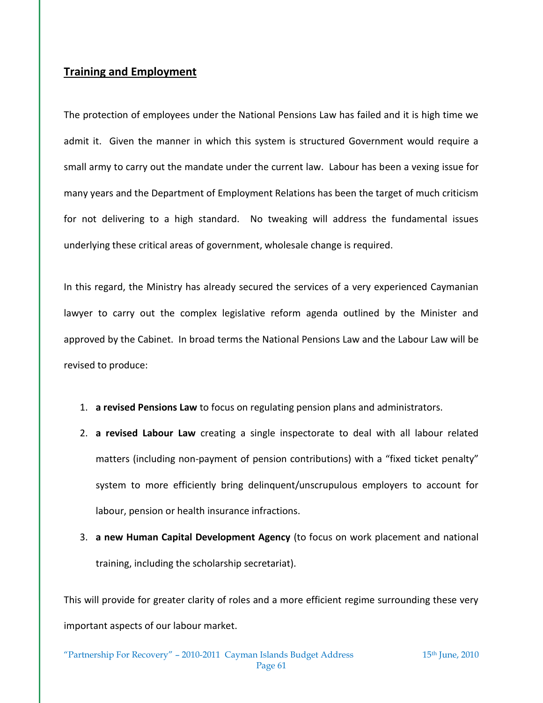### **Training and Employment**

The protection of employees under the National Pensions Law has failed and it is high time we admit it. Given the manner in which this system is structured Government would require a small army to carry out the mandate under the current law. Labour has been a vexing issue for many years and the Department of Employment Relations has been the target of much criticism for not delivering to a high standard. No tweaking will address the fundamental issues underlying these critical areas of government, wholesale change is required.

In this regard, the Ministry has already secured the services of a very experienced Caymanian lawyer to carry out the complex legislative reform agenda outlined by the Minister and approved by the Cabinet. In broad terms the National Pensions Law and the Labour Law will be revised to produce:

- 1. **a revised Pensions Law** to focus on regulating pension plans and administrators.
- 2. **a revised Labour Law** creating a single inspectorate to deal with all labour related matters (including non-payment of pension contributions) with a "fixed ticket penalty" system to more efficiently bring delinquent/unscrupulous employers to account for labour, pension or health insurance infractions.
- 3. **a new Human Capital Development Agency** (to focus on work placement and national training, including the scholarship secretariat).

This will provide for greater clarity of roles and a more efficient regime surrounding these very important aspects of our labour market.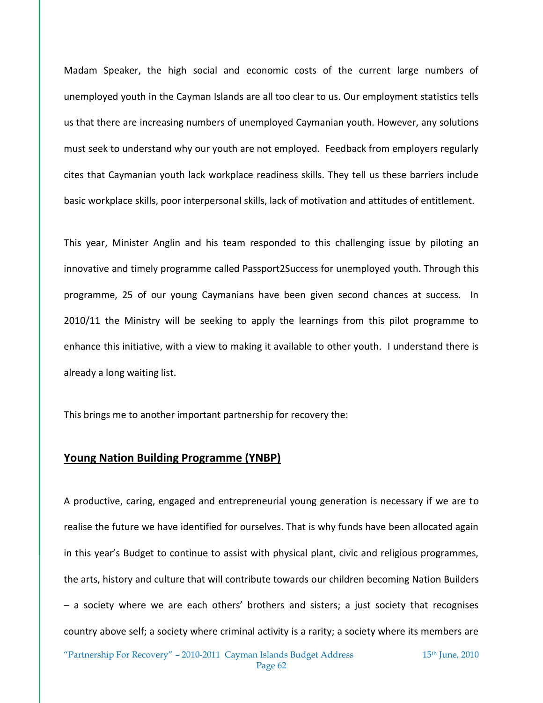Madam Speaker, the high social and economic costs of the current large numbers of unemployed youth in the Cayman Islands are all too clear to us. Our employment statistics tells us that there are increasing numbers of unemployed Caymanian youth. However, any solutions must seek to understand why our youth are not employed. Feedback from employers regularly cites that Caymanian youth lack workplace readiness skills. They tell us these barriers include basic workplace skills, poor interpersonal skills, lack of motivation and attitudes of entitlement.

This year, Minister Anglin and his team responded to this challenging issue by piloting an innovative and timely programme called Passport2Success for unemployed youth. Through this programme, 25 of our young Caymanians have been given second chances at success. In 2010/11 the Ministry will be seeking to apply the learnings from this pilot programme to enhance this initiative, with a view to making it available to other youth. I understand there is already a long waiting list.

This brings me to another important partnership for recovery the:

### **Young Nation Building Programme (YNBP)**

A productive, caring, engaged and entrepreneurial young generation is necessary if we are to realise the future we have identified for ourselves. That is why funds have been allocated again in this year's Budget to continue to assist with physical plant, civic and religious programmes, the arts, history and culture that will contribute towards our children becoming Nation Builders – a society where we are each others' brothers and sisters; a just society that recognises country above self; a society where criminal activity is a rarity; a society where its members are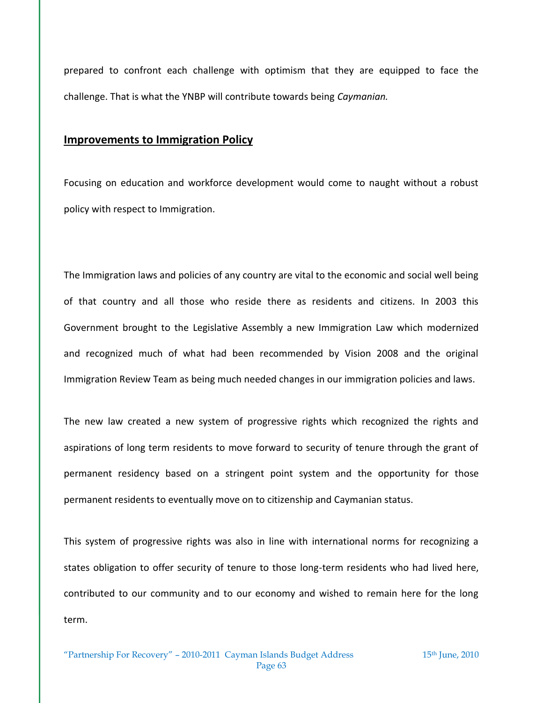prepared to confront each challenge with optimism that they are equipped to face the challenge. That is what the YNBP will contribute towards being *Caymanian.*

#### **Improvements to Immigration Policy**

Focusing on education and workforce development would come to naught without a robust policy with respect to Immigration.

The Immigration laws and policies of any country are vital to the economic and social well being of that country and all those who reside there as residents and citizens. In 2003 this Government brought to the Legislative Assembly a new Immigration Law which modernized and recognized much of what had been recommended by Vision 2008 and the original Immigration Review Team as being much needed changes in our immigration policies and laws.

The new law created a new system of progressive rights which recognized the rights and aspirations of long term residents to move forward to security of tenure through the grant of permanent residency based on a stringent point system and the opportunity for those permanent residents to eventually move on to citizenship and Caymanian status.

This system of progressive rights was also in line with international norms for recognizing a states obligation to offer security of tenure to those long-term residents who had lived here, contributed to our community and to our economy and wished to remain here for the long term.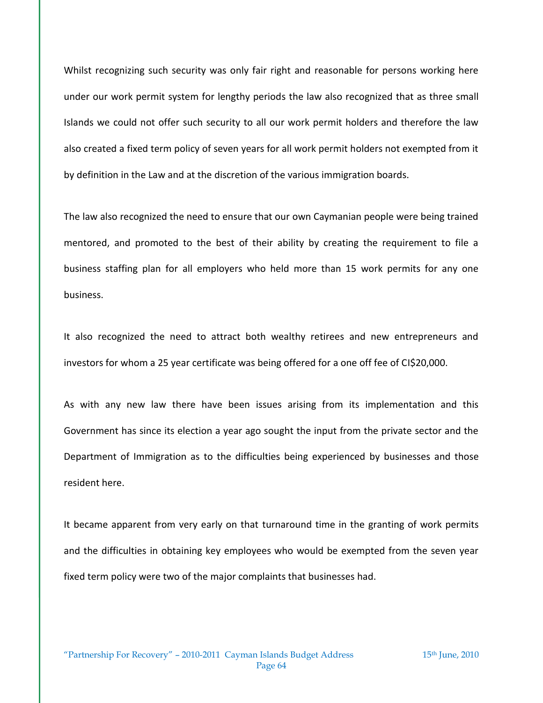Whilst recognizing such security was only fair right and reasonable for persons working here under our work permit system for lengthy periods the law also recognized that as three small Islands we could not offer such security to all our work permit holders and therefore the law also created a fixed term policy of seven years for all work permit holders not exempted from it by definition in the Law and at the discretion of the various immigration boards.

The law also recognized the need to ensure that our own Caymanian people were being trained mentored, and promoted to the best of their ability by creating the requirement to file a business staffing plan for all employers who held more than 15 work permits for any one business.

It also recognized the need to attract both wealthy retirees and new entrepreneurs and investors for whom a 25 year certificate was being offered for a one off fee of CI\$20,000.

As with any new law there have been issues arising from its implementation and this Government has since its election a year ago sought the input from the private sector and the Department of Immigration as to the difficulties being experienced by businesses and those resident here.

It became apparent from very early on that turnaround time in the granting of work permits and the difficulties in obtaining key employees who would be exempted from the seven year fixed term policy were two of the major complaints that businesses had.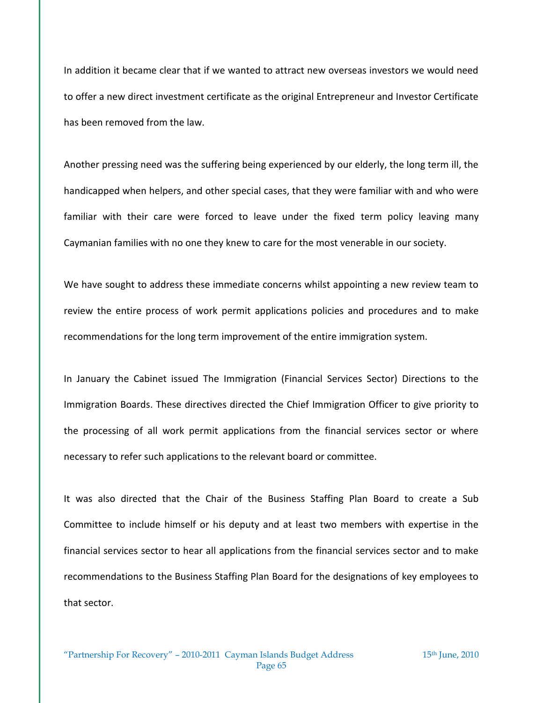In addition it became clear that if we wanted to attract new overseas investors we would need to offer a new direct investment certificate as the original Entrepreneur and Investor Certificate has been removed from the law.

Another pressing need was the suffering being experienced by our elderly, the long term ill, the handicapped when helpers, and other special cases, that they were familiar with and who were familiar with their care were forced to leave under the fixed term policy leaving many Caymanian families with no one they knew to care for the most venerable in our society.

We have sought to address these immediate concerns whilst appointing a new review team to review the entire process of work permit applications policies and procedures and to make recommendations for the long term improvement of the entire immigration system.

In January the Cabinet issued The Immigration (Financial Services Sector) Directions to the Immigration Boards. These directives directed the Chief Immigration Officer to give priority to the processing of all work permit applications from the financial services sector or where necessary to refer such applications to the relevant board or committee.

It was also directed that the Chair of the Business Staffing Plan Board to create a Sub Committee to include himself or his deputy and at least two members with expertise in the financial services sector to hear all applications from the financial services sector and to make recommendations to the Business Staffing Plan Board for the designations of key employees to that sector.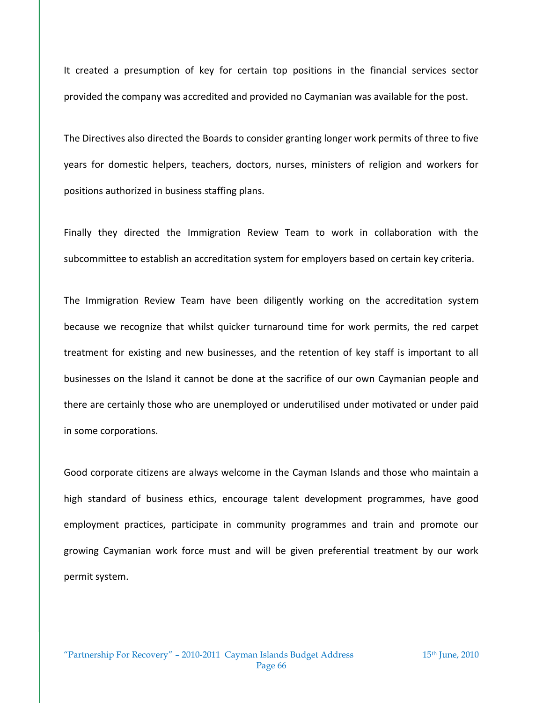It created a presumption of key for certain top positions in the financial services sector provided the company was accredited and provided no Caymanian was available for the post.

The Directives also directed the Boards to consider granting longer work permits of three to five years for domestic helpers, teachers, doctors, nurses, ministers of religion and workers for positions authorized in business staffing plans.

Finally they directed the Immigration Review Team to work in collaboration with the subcommittee to establish an accreditation system for employers based on certain key criteria.

The Immigration Review Team have been diligently working on the accreditation system because we recognize that whilst quicker turnaround time for work permits, the red carpet treatment for existing and new businesses, and the retention of key staff is important to all businesses on the Island it cannot be done at the sacrifice of our own Caymanian people and there are certainly those who are unemployed or underutilised under motivated or under paid in some corporations.

Good corporate citizens are always welcome in the Cayman Islands and those who maintain a high standard of business ethics, encourage talent development programmes, have good employment practices, participate in community programmes and train and promote our growing Caymanian work force must and will be given preferential treatment by our work permit system.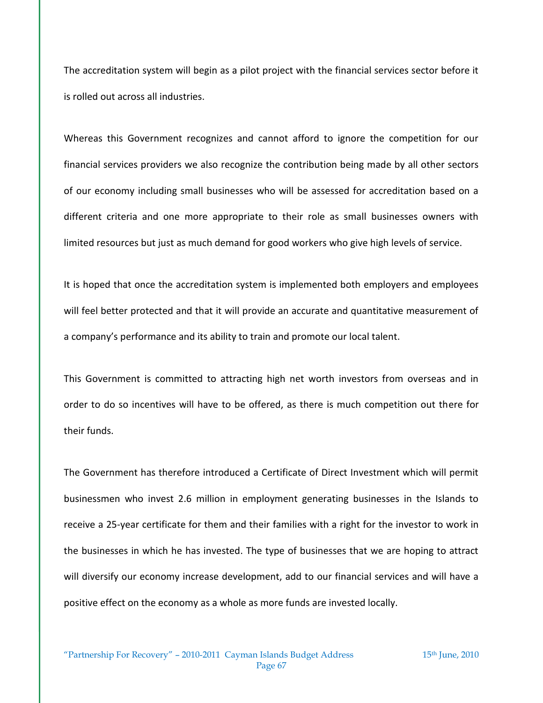The accreditation system will begin as a pilot project with the financial services sector before it is rolled out across all industries.

Whereas this Government recognizes and cannot afford to ignore the competition for our financial services providers we also recognize the contribution being made by all other sectors of our economy including small businesses who will be assessed for accreditation based on a different criteria and one more appropriate to their role as small businesses owners with limited resources but just as much demand for good workers who give high levels of service.

It is hoped that once the accreditation system is implemented both employers and employees will feel better protected and that it will provide an accurate and quantitative measurement of a company's performance and its ability to train and promote our local talent.

This Government is committed to attracting high net worth investors from overseas and in order to do so incentives will have to be offered, as there is much competition out there for their funds.

The Government has therefore introduced a Certificate of Direct Investment which will permit businessmen who invest 2.6 million in employment generating businesses in the Islands to receive a 25-year certificate for them and their families with a right for the investor to work in the businesses in which he has invested. The type of businesses that we are hoping to attract will diversify our economy increase development, add to our financial services and will have a positive effect on the economy as a whole as more funds are invested locally.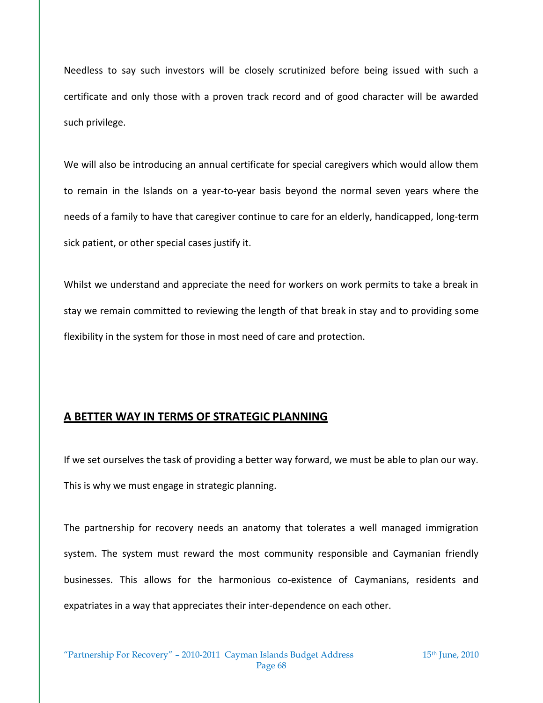Needless to say such investors will be closely scrutinized before being issued with such a certificate and only those with a proven track record and of good character will be awarded such privilege.

We will also be introducing an annual certificate for special caregivers which would allow them to remain in the Islands on a year-to-year basis beyond the normal seven years where the needs of a family to have that caregiver continue to care for an elderly, handicapped, long-term sick patient, or other special cases justify it.

Whilst we understand and appreciate the need for workers on work permits to take a break in stay we remain committed to reviewing the length of that break in stay and to providing some flexibility in the system for those in most need of care and protection.

## **A BETTER WAY IN TERMS OF STRATEGIC PLANNING**

If we set ourselves the task of providing a better way forward, we must be able to plan our way. This is why we must engage in strategic planning.

The partnership for recovery needs an anatomy that tolerates a well managed immigration system. The system must reward the most community responsible and Caymanian friendly businesses. This allows for the harmonious co-existence of Caymanians, residents and expatriates in a way that appreciates their inter-dependence on each other.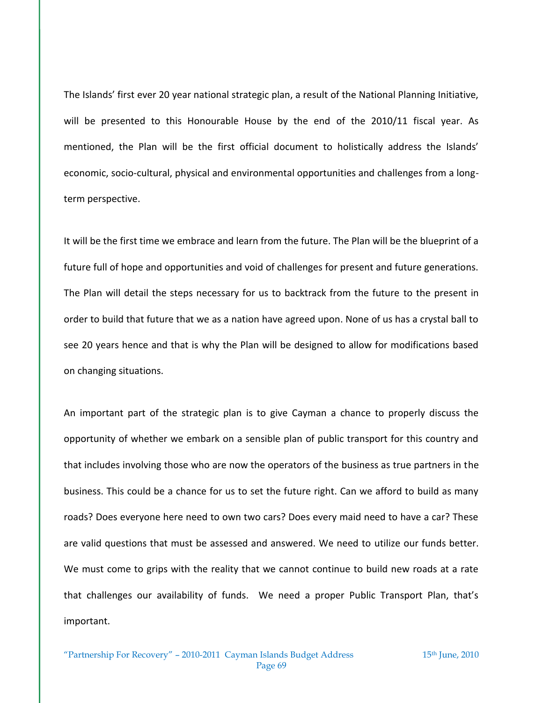The Islands' first ever 20 year national strategic plan, a result of the National Planning Initiative, will be presented to this Honourable House by the end of the 2010/11 fiscal year. As mentioned, the Plan will be the first official document to holistically address the Islands' economic, socio-cultural, physical and environmental opportunities and challenges from a longterm perspective.

It will be the first time we embrace and learn from the future. The Plan will be the blueprint of a future full of hope and opportunities and void of challenges for present and future generations. The Plan will detail the steps necessary for us to backtrack from the future to the present in order to build that future that we as a nation have agreed upon. None of us has a crystal ball to see 20 years hence and that is why the Plan will be designed to allow for modifications based on changing situations.

An important part of the strategic plan is to give Cayman a chance to properly discuss the opportunity of whether we embark on a sensible plan of public transport for this country and that includes involving those who are now the operators of the business as true partners in the business. This could be a chance for us to set the future right. Can we afford to build as many roads? Does everyone here need to own two cars? Does every maid need to have a car? These are valid questions that must be assessed and answered. We need to utilize our funds better. We must come to grips with the reality that we cannot continue to build new roads at a rate that challenges our availability of funds. We need a proper Public Transport Plan, that's important.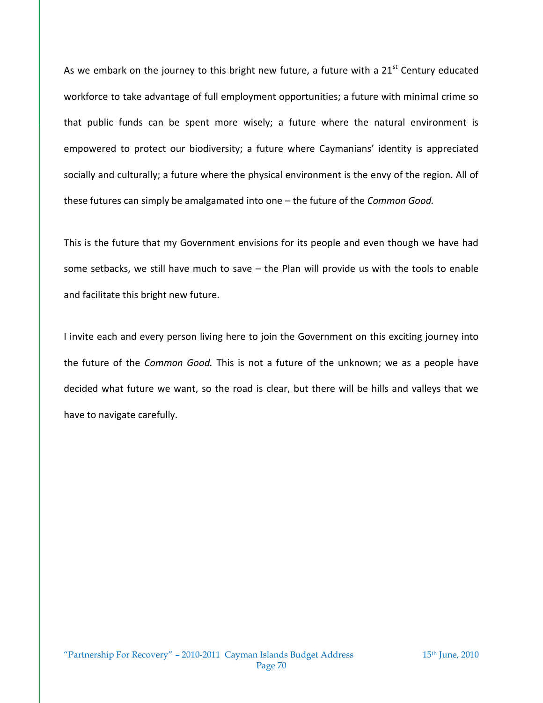As we embark on the journey to this bright new future, a future with a  $21<sup>st</sup>$  Century educated workforce to take advantage of full employment opportunities; a future with minimal crime so that public funds can be spent more wisely; a future where the natural environment is empowered to protect our biodiversity; a future where Caymanians' identity is appreciated socially and culturally; a future where the physical environment is the envy of the region. All of these futures can simply be amalgamated into one – the future of the *Common Good.*

This is the future that my Government envisions for its people and even though we have had some setbacks, we still have much to save – the Plan will provide us with the tools to enable and facilitate this bright new future.

I invite each and every person living here to join the Government on this exciting journey into the future of the *Common Good.* This is not a future of the unknown; we as a people have decided what future we want, so the road is clear, but there will be hills and valleys that we have to navigate carefully.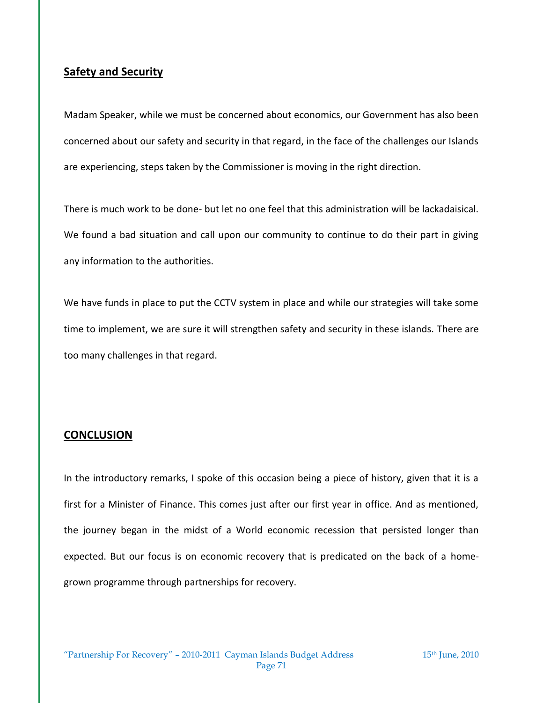## **Safety and Security**

Madam Speaker, while we must be concerned about economics, our Government has also been concerned about our safety and security in that regard, in the face of the challenges our Islands are experiencing, steps taken by the Commissioner is moving in the right direction.

There is much work to be done- but let no one feel that this administration will be lackadaisical. We found a bad situation and call upon our community to continue to do their part in giving any information to the authorities.

We have funds in place to put the CCTV system in place and while our strategies will take some time to implement, we are sure it will strengthen safety and security in these islands. There are too many challenges in that regard.

## **CONCLUSION**

In the introductory remarks, I spoke of this occasion being a piece of history, given that it is a first for a Minister of Finance. This comes just after our first year in office. And as mentioned, the journey began in the midst of a World economic recession that persisted longer than expected. But our focus is on economic recovery that is predicated on the back of a homegrown programme through partnerships for recovery.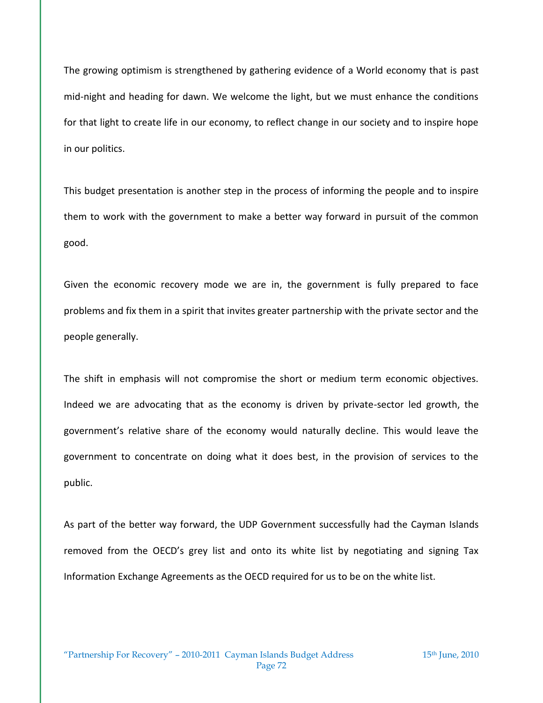The growing optimism is strengthened by gathering evidence of a World economy that is past mid-night and heading for dawn. We welcome the light, but we must enhance the conditions for that light to create life in our economy, to reflect change in our society and to inspire hope in our politics.

This budget presentation is another step in the process of informing the people and to inspire them to work with the government to make a better way forward in pursuit of the common good.

Given the economic recovery mode we are in, the government is fully prepared to face problems and fix them in a spirit that invites greater partnership with the private sector and the people generally.

The shift in emphasis will not compromise the short or medium term economic objectives. Indeed we are advocating that as the economy is driven by private-sector led growth, the government's relative share of the economy would naturally decline. This would leave the government to concentrate on doing what it does best, in the provision of services to the public.

As part of the better way forward, the UDP Government successfully had the Cayman Islands removed from the OECD's grey list and onto its white list by negotiating and signing Tax Information Exchange Agreements as the OECD required for us to be on the white list.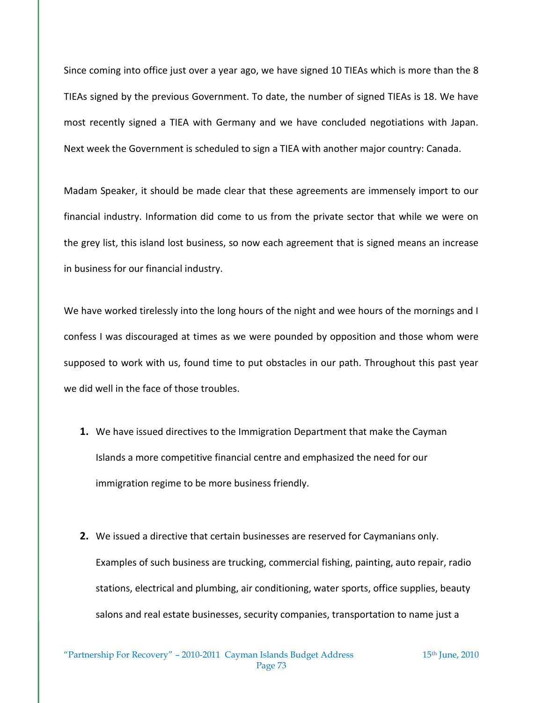Since coming into office just over a year ago, we have signed 10 TIEAs which is more than the 8 TIEAs signed by the previous Government. To date, the number of signed TIEAs is 18. We have most recently signed a TIEA with Germany and we have concluded negotiations with Japan. Next week the Government is scheduled to sign a TIEA with another major country: Canada.

Madam Speaker, it should be made clear that these agreements are immensely import to our financial industry. Information did come to us from the private sector that while we were on the grey list, this island lost business, so now each agreement that is signed means an increase in business for our financial industry.

We have worked tirelessly into the long hours of the night and wee hours of the mornings and I confess I was discouraged at times as we were pounded by opposition and those whom were supposed to work with us, found time to put obstacles in our path. Throughout this past year we did well in the face of those troubles.

- **1.** We have issued directives to the Immigration Department that make the Cayman Islands a more competitive financial centre and emphasized the need for our immigration regime to be more business friendly.
- **2.** We issued a directive that certain businesses are reserved for Caymanians only. Examples of such business are trucking, commercial fishing, painting, auto repair, radio stations, electrical and plumbing, air conditioning, water sports, office supplies, beauty salons and real estate businesses, security companies, transportation to name just a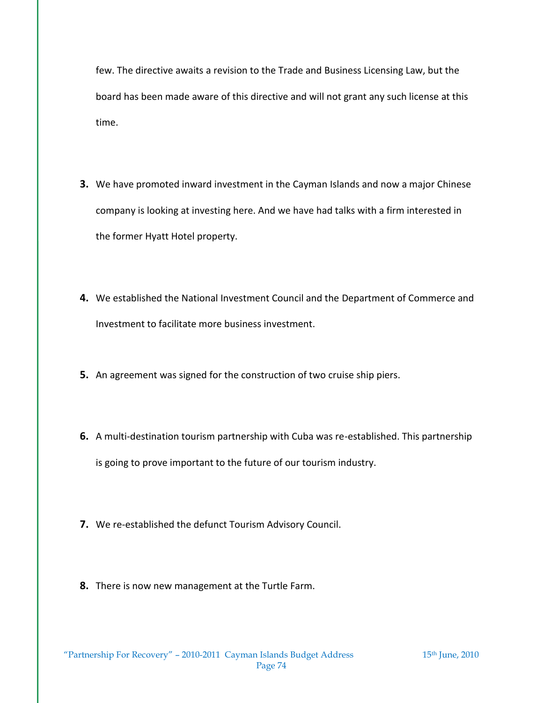few. The directive awaits a revision to the Trade and Business Licensing Law, but the board has been made aware of this directive and will not grant any such license at this time.

- **3.** We have promoted inward investment in the Cayman Islands and now a major Chinese company is looking at investing here. And we have had talks with a firm interested in the former Hyatt Hotel property.
- **4.** We established the National Investment Council and the Department of Commerce and Investment to facilitate more business investment.
- **5.** An agreement was signed for the construction of two cruise ship piers.
- **6.** A multi-destination tourism partnership with Cuba was re-established. This partnership is going to prove important to the future of our tourism industry.
- **7.** We re-established the defunct Tourism Advisory Council.
- **8.** There is now new management at the Turtle Farm.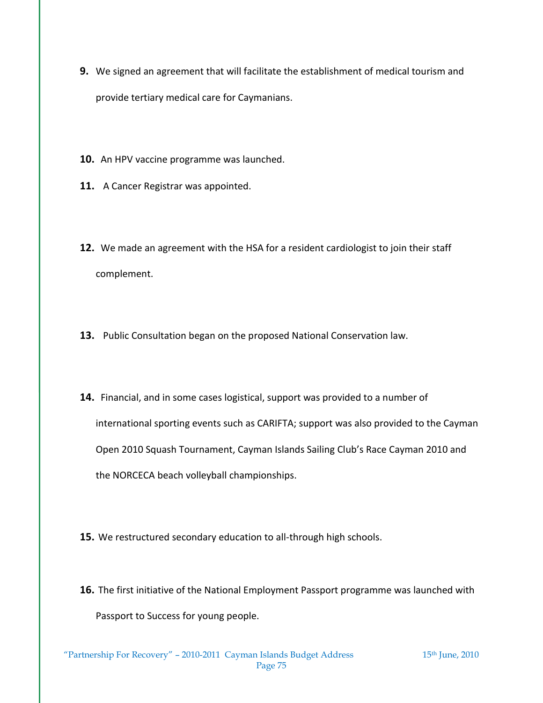- **9.** We signed an agreement that will facilitate the establishment of medical tourism and provide tertiary medical care for Caymanians.
- **10.** An HPV vaccine programme was launched.
- **11.** A Cancer Registrar was appointed.
- **12.** We made an agreement with the HSA for a resident cardiologist to join their staff complement.
- **13.** Public Consultation began on the proposed National Conservation law.
- **14.** Financial, and in some cases logistical, support was provided to a number of international sporting events such as CARIFTA; support was also provided to the Cayman Open 2010 Squash Tournament, Cayman Islands Sailing Club's Race Cayman 2010 and the NORCECA beach volleyball championships.
- **15.** We restructured secondary education to all-through high schools.
- **16.** The first initiative of the National Employment Passport programme was launched with Passport to Success for young people.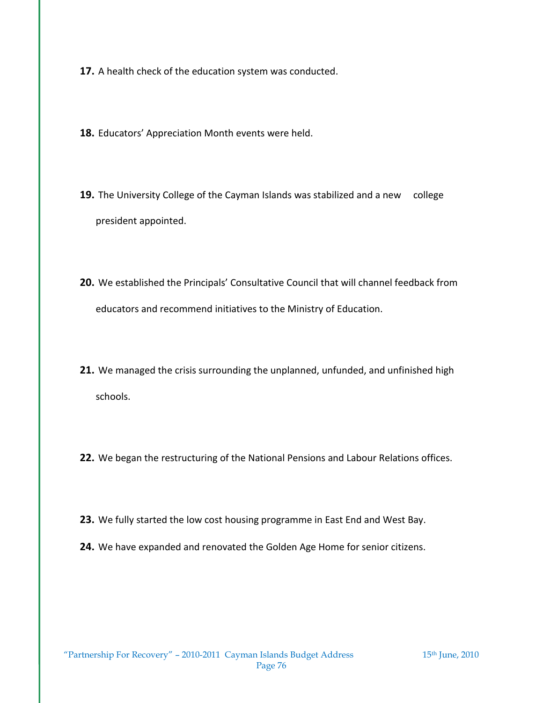**17.** A health check of the education system was conducted.

- **18.** Educators' Appreciation Month events were held.
- **19.** The University College of the Cayman Islands was stabilized and a new college president appointed.
- **20.** We established the Principals' Consultative Council that will channel feedback from educators and recommend initiatives to the Ministry of Education.
- **21.** We managed the crisis surrounding the unplanned, unfunded, and unfinished high schools.
- **22.** We began the restructuring of the National Pensions and Labour Relations offices.
- **23.** We fully started the low cost housing programme in East End and West Bay.
- **24.** We have expanded and renovated the Golden Age Home for senior citizens.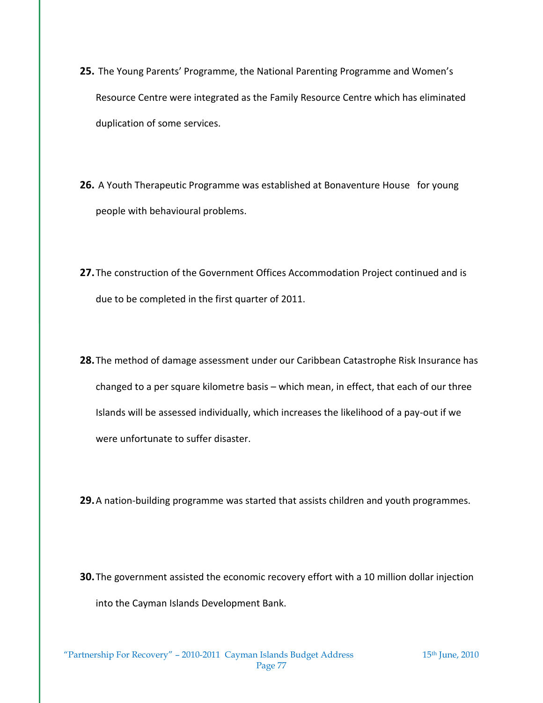- **25.** The Young Parents' Programme, the National Parenting Programme and Women's Resource Centre were integrated as the Family Resource Centre which has eliminated duplication of some services.
- **26.** A Youth Therapeutic Programme was established at Bonaventure House for young people with behavioural problems.
- **27.**The construction of the Government Offices Accommodation Project continued and is due to be completed in the first quarter of 2011.
- **28.**The method of damage assessment under our Caribbean Catastrophe Risk Insurance has changed to a per square kilometre basis – which mean, in effect, that each of our three Islands will be assessed individually, which increases the likelihood of a pay-out if we were unfortunate to suffer disaster.
- **29.**A nation-building programme was started that assists children and youth programmes.
- **30.**The government assisted the economic recovery effort with a 10 million dollar injection into the Cayman Islands Development Bank.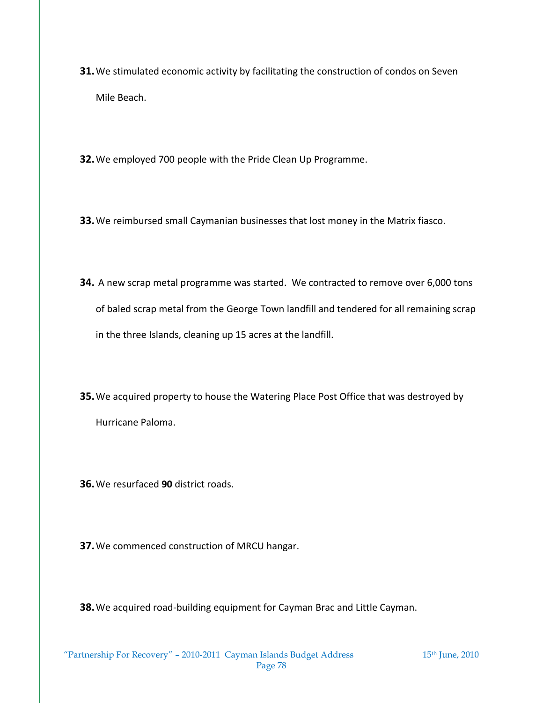- **31.**We stimulated economic activity by facilitating the construction of condos on Seven Mile Beach.
- **32.**We employed 700 people with the Pride Clean Up Programme.
- **33.**We reimbursed small Caymanian businesses that lost money in the Matrix fiasco.
- **34.** A new scrap metal programme was started. We contracted to remove over 6,000 tons of baled scrap metal from the George Town landfill and tendered for all remaining scrap in the three Islands, cleaning up 15 acres at the landfill.
- **35.**We acquired property to house the Watering Place Post Office that was destroyed by Hurricane Paloma.
- **36.**We resurfaced **90** district roads.
- **37.**We commenced construction of MRCU hangar.

**38.**We acquired road-building equipment for Cayman Brac and Little Cayman.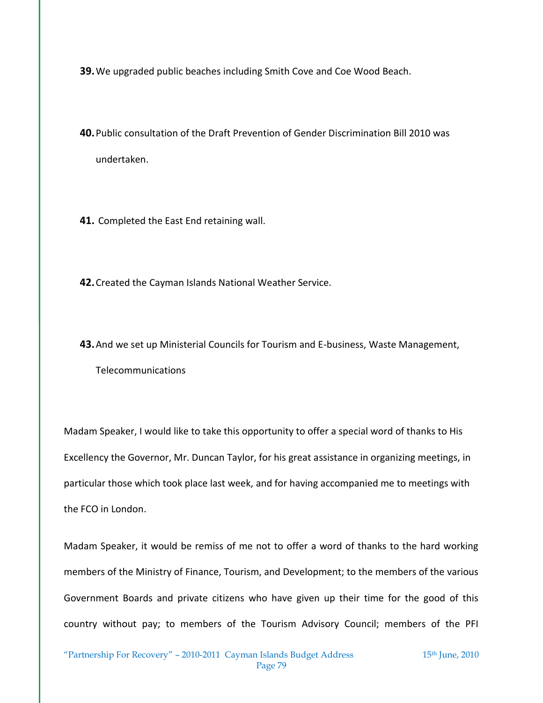**39.**We upgraded public beaches including Smith Cove and Coe Wood Beach.

**40.**Public consultation of the Draft Prevention of Gender Discrimination Bill 2010 was undertaken.

**41.** Completed the East End retaining wall.

**42.**Created the Cayman Islands National Weather Service.

**43.**And we set up Ministerial Councils for Tourism and E-business, Waste Management, Telecommunications

Madam Speaker, I would like to take this opportunity to offer a special word of thanks to His Excellency the Governor, Mr. Duncan Taylor, for his great assistance in organizing meetings, in particular those which took place last week, and for having accompanied me to meetings with the FCO in London.

Madam Speaker, it would be remiss of me not to offer a word of thanks to the hard working members of the Ministry of Finance, Tourism, and Development; to the members of the various Government Boards and private citizens who have given up their time for the good of this country without pay; to members of the Tourism Advisory Council; members of the PFI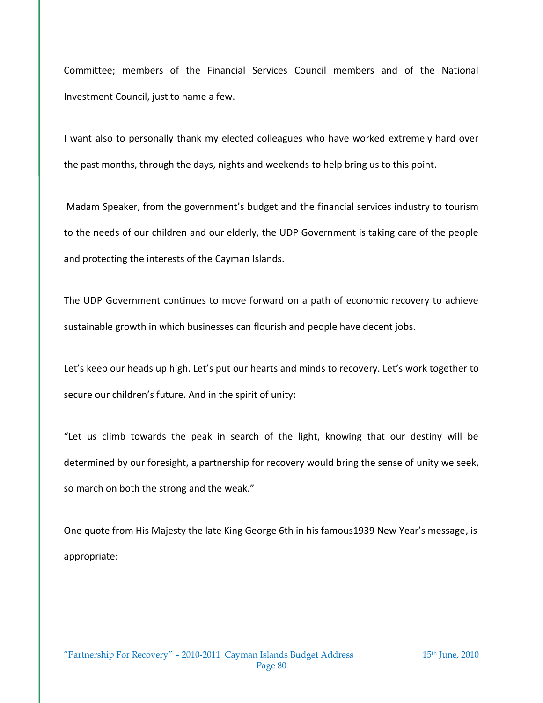Committee; members of the Financial Services Council members and of the National Investment Council, just to name a few.

I want also to personally thank my elected colleagues who have worked extremely hard over the past months, through the days, nights and weekends to help bring us to this point.

Madam Speaker, from the government's budget and the financial services industry to tourism to the needs of our children and our elderly, the UDP Government is taking care of the people and protecting the interests of the Cayman Islands.

The UDP Government continues to move forward on a path of economic recovery to achieve sustainable growth in which businesses can flourish and people have decent jobs.

Let's keep our heads up high. Let's put our hearts and minds to recovery. Let's work together to secure our children's future. And in the spirit of unity:

"Let us climb towards the peak in search of the light, knowing that our destiny will be determined by our foresight, a partnership for recovery would bring the sense of unity we seek, so march on both the strong and the weak."

One quote from His Majesty the late King George 6th in his famous1939 New Year's message, is appropriate: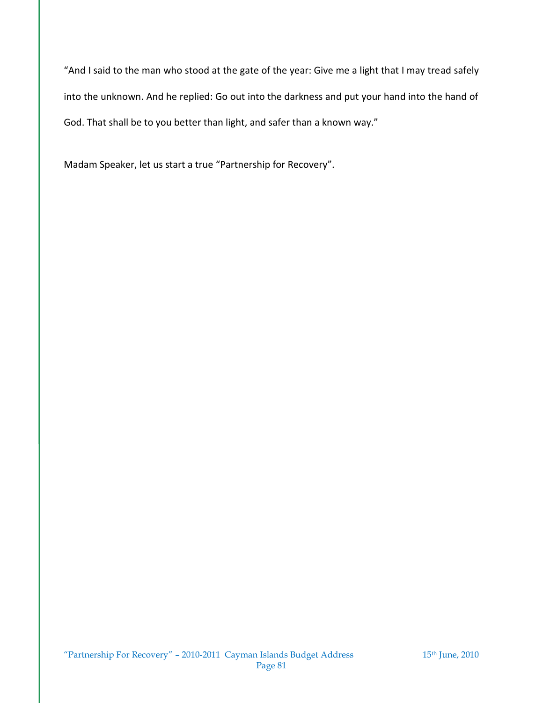"And I said to the man who stood at the gate of the year: Give me a light that I may tread safely into the unknown. And he replied: Go out into the darkness and put your hand into the hand of God. That shall be to you better than light, and safer than a known way."

Madam Speaker, let us start a true "Partnership for Recovery".